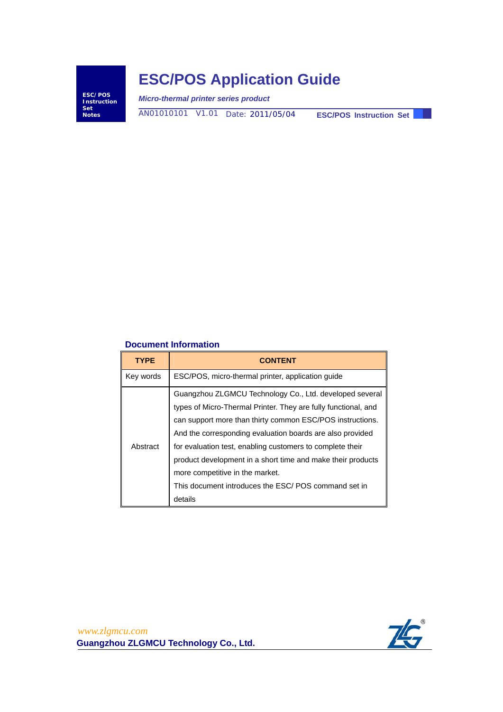**ESC/POS Instruction Set Notes** 

# **ESC/POS Application Guide**

*Micro-thermal printer series product*

AN01010101 V1.01 Date: 2011/05/04 **ESC/POS Instruction Set** 

## **Document Information**

| <b>TYPE</b> | <b>CONTENT</b>                                                                                                                                                                                                                                                                                                                                                                                                                                                            |  |  |
|-------------|---------------------------------------------------------------------------------------------------------------------------------------------------------------------------------------------------------------------------------------------------------------------------------------------------------------------------------------------------------------------------------------------------------------------------------------------------------------------------|--|--|
| Key words   | ESC/POS, micro-thermal printer, application guide                                                                                                                                                                                                                                                                                                                                                                                                                         |  |  |
| Abstract    | Guangzhou ZLGMCU Technology Co., Ltd. developed several<br>types of Micro-Thermal Printer. They are fully functional, and<br>can support more than thirty common ESC/POS instructions.<br>And the corresponding evaluation boards are also provided<br>for evaluation test, enabling customers to complete their<br>product development in a short time and make their products<br>more competitive in the market.<br>This document introduces the ESC/POS command set in |  |  |
|             | details                                                                                                                                                                                                                                                                                                                                                                                                                                                                   |  |  |

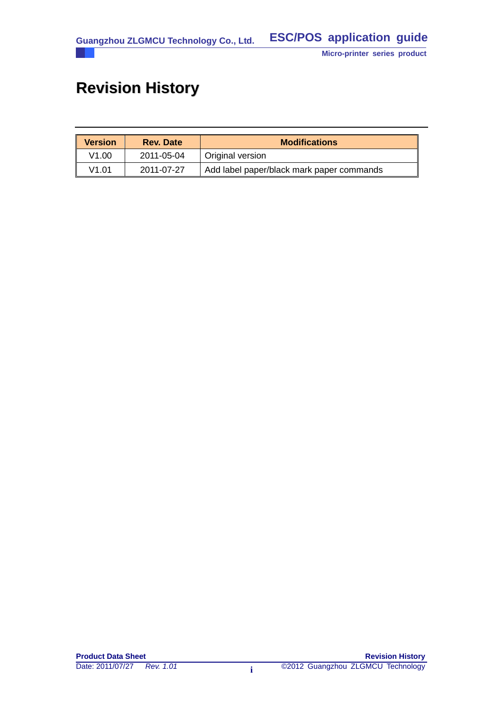# **Revision History**

| <b>Version</b> | <b>Rev. Date</b> | <b>Modifications</b>                      |
|----------------|------------------|-------------------------------------------|
| V1.00          | 2011-05-04       | Original version                          |
| V1.01          | 2011-07-27       | Add label paper/black mark paper commands |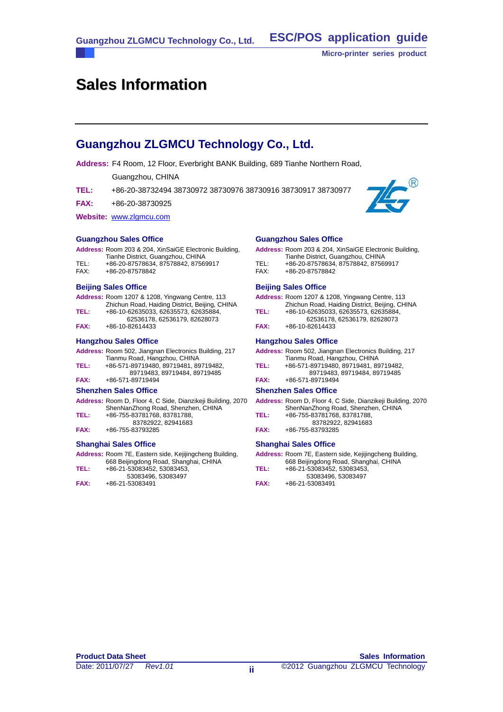**ESC/POS application guide**

# **Sales Information**

# **Guangzhou ZLGMCU Technology Co., Ltd.**

**Address:** F4 Room, 12 Floor, Everbright BANK Building, 689 Tianhe Northern Road,

- Guangzhou, CHINA
- **TEL:** +86-20-38732494 38730972 38730976 38730916 38730917 38730977
- **FAX:** +86-20-38730925

**Website:** www.zlgmcu.com



- **Address:** Room 203 & 204, XinSaiGE Electronic Building, Tianhe District, Guangzhou, CHINA
- TEL: +86-20-87578634, 87578842, 87569917
- FAX: +86-20-87578842

#### **Beijing Sales Office**

- **Address:** Room 1207 & 1208, Yingwang Centre, 113 Zhichun Road, Haiding District, Beijing, CHINA
- **TEL:** +86-10-62635033, 62635573, 62635884, 62536178, 62536179, 82628073
- **FAX:** +86-10-82614433

#### **Hangzhou Sales Office**

- **Address:** Room 502, Jiangnan Electronics Building, 217 HINA
- **TEL:** +86-571-89719480, 89719481, 89719482, 4, 89719485
- **FAX:** +86-571-89719494

#### **Shenzhen Sales Office**

- **Address:** Room D, Floor 4, C Side, Dianzikeji Building, 2070 ShenNanZhong Road, Shenzhen, CHINA
- **TEL:** +86-755-83781768, 83781788, 83782922, 82941683
- **FAX:** +86-755-83793285

#### **Shanghai Sales Office**

**Address:** Room 7E, Eastern side, Kejijingcheng Building,

668 Beijingdong Road, Shanghai, CHINA **TEL:** +86-21-53083452, 53083453,

|             | 53083496, 53083497        |
|-------------|---------------------------|
| $- \cdot -$ | $- - - - - - - - - - - -$ |

```
FAX: +86-21-53083491
```
#### **Guangzhou Sales Office**

- **Address:** Room 203 & 204, XinSaiGE Electronic Building, Tianhe District, Guangzhou, CHINA
- TEL: +86-20-87578634, 87578842, 87569917
- FAX: +86-20-87578842

#### **Beijing Sales Office**

|  |  | Address: Room 1207 & 1208, Yingwang Centre, 113 |  |
|--|--|-------------------------------------------------|--|
|  |  | Zhichun Bood, Hojding Dictrict, Poijing, CHIN,  |  |

- Zhichun Road, Haiding District, Beijing, CHINA **TEL:** +86-10-62635033, 62635573, 62635884,
- 62536178, 62536179, 82628073 **FAX:** +86-10-82614433

#### **Hangzhou Sales Office**

|      | Address: Room 502, Jiangnan Electronics Building, 217 |
|------|-------------------------------------------------------|
|      | Tianmu Road, Hangzhou, CHINA                          |
| TEL: | +86-571-89719480, 89719481, 89719482,                 |
|      | 89719483, 89719484, 89719485                          |
| FAX: | +86-571-89719494                                      |

#### **Shenzhen Sales Office**

|      | Address: Room D, Floor 4, C Side, Dianzikeji Building, 2070 |  |
|------|-------------------------------------------------------------|--|
|      | ShenNanZhong Road, Shenzhen, CHINA                          |  |
| TEL: | +86-755-83781768.83781788.                                  |  |
|      |                                                             |  |

- 83782922, 82941683 **FAX:** +86-755-83793285
- 

### **Shanghai Sales Office**

|             | Address: Room 7E, Eastern side, Kejijingcheng Building, |
|-------------|---------------------------------------------------------|
|             | 668 Beijingdong Road, Shanghai, CHINA                   |
| <b>TEL:</b> | +86-21-53083452.53083453.                               |
|             | 53083496, 53083497                                      |
| <b>FAX:</b> | +86-21-53083491                                         |
|             |                                                         |



| Tianmu Road, Hangzhou, Ch |
|---------------------------|
| +86-571-89719480, 8971948 |
| 89719483, 8971948         |
|                           |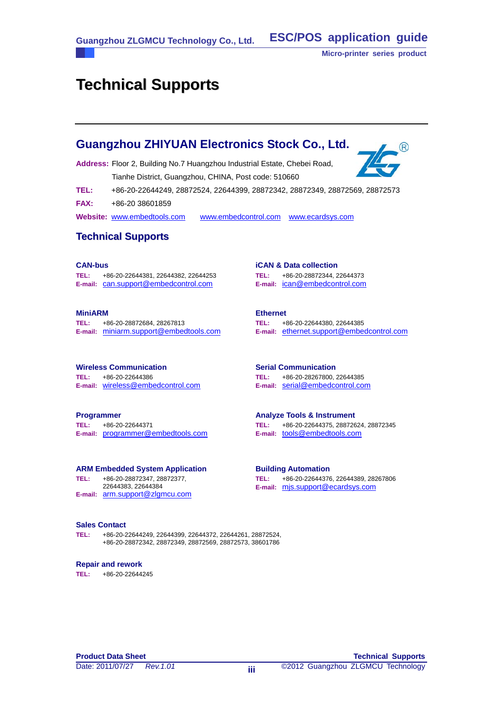# **Technical Supports**

# **Guangzhou ZHIYUAN Electronics Stock Co., Ltd.**

**Address:** Floor 2, Building No.7 Huangzhou Industrial Estate, Chebei Road,

Tianhe District, Guangzhou, CHINA, Post code: 510660

**TEL:** +86-20-22644249, 28872524, 22644399, 28872342, 28872349, 28872569, 28872573

**FAX:** +86-20 38601859

Website: www.embedtools.com www.embedcontrol.com www.ecardsys.com

# **Technical Supports**

#### **CAN-bus**

**TEL:** +86-20-22644381, 22644382, 22644253 **E-mail:** can.support@embedcontrol.com

#### **MiniARM**

**TEL:** +86-20-28872684, 28267813 **E-mail:** miniarm.support@embedtools.com

# **Wireless Communication**

**TEL:** +86-20-22644386 **E-mail:** wireless@embedcontrol.com

### **Programmer**

**TEL:** +86-20-22644371 **E-mail:** programmer@embedtools.com

### **ARM Embedded System Application**

**TEL:** +86-20-28872347, 28872377, 22644383, 22644384 **E-mail:** arm.support@zlgmcu.com

### **Sales Contact**

**TEL:** +86-20-22644249, 22644399, 22644372, 22644261, 28872524, +86-20-28872342, 28872349, 28872569, 28872573, 38601786

#### **Repair and rework**

**TEL:** +86-20-22644245

#### **iCAN & Data collection TEL:** +86-20-28872344, 22644373

**E-mail:** ican@embedcontrol.com

### **Ethernet**

**TEL:** +86-20-22644380, 22644385 **E-mail:** ethernet.support@embedcontrol.com

**Serial Communication TEL:** +86-20-28267800, 22644385

**E-mail:** serial@embedcontrol.com

### **Analyze Tools & Instrument**

**TEL:** +86-20-22644375, 28872624, 28872345 **E-mail:** tools@embedtools.com

### **Building Automation**

**TEL:** +86-20-22644376, 22644389, 28267806 **E-mail:** mjs.support@ecardsys.com



**ESC/POS application guide**



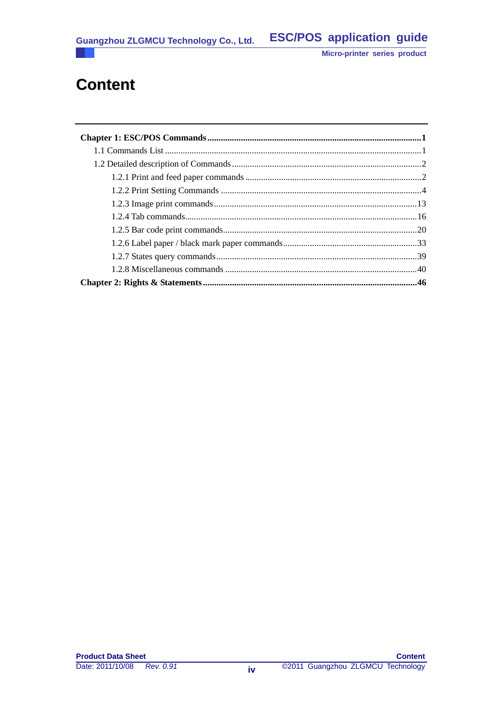**ESC/POS application guide Guangzhou ZLGMCU Technology Co., Ltd.** 

Micro-printer series product

# **Content**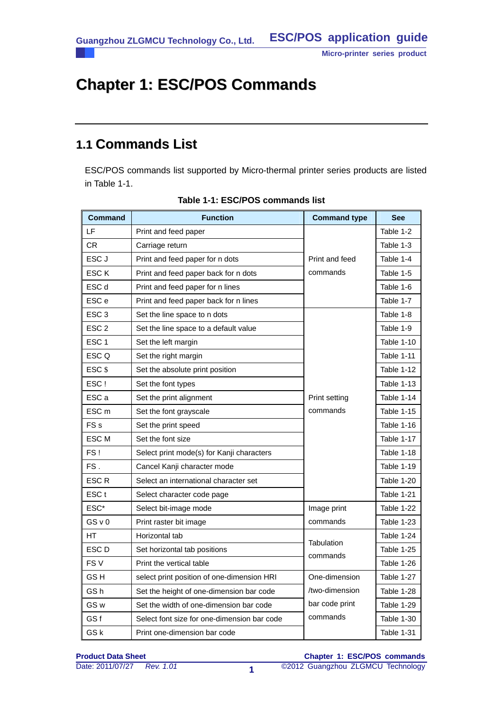# **Chapter 1: ESC/POS Commands**

# **1.1 Commands List**

ESC/POS commands list supported by Micro-thermal printer series products are listed in Table 1-1.

| <b>Command</b>   | <b>Function</b>                             | <b>Command type</b> | <b>See</b> |
|------------------|---------------------------------------------|---------------------|------------|
| LF               | Print and feed paper                        |                     | Table 1-2  |
| <b>CR</b>        | Carriage return                             |                     | Table 1-3  |
| ESC J            | Print and feed paper for n dots             | Print and feed      | Table 1-4  |
| <b>ESCK</b>      | Print and feed paper back for n dots        | commands            | Table 1-5  |
| ESC d            | Print and feed paper for n lines            |                     | Table 1-6  |
| ESC e            | Print and feed paper back for n lines       |                     | Table 1-7  |
| ESC <sub>3</sub> | Set the line space to n dots                |                     | Table 1-8  |
| ESC <sub>2</sub> | Set the line space to a default value       |                     | Table 1-9  |
| ESC <sub>1</sub> | Set the left margin                         |                     | Table 1-10 |
| ESC <sub>Q</sub> | Set the right margin                        |                     | Table 1-11 |
| ESC \$           | Set the absolute print position             |                     | Table 1-12 |
| ESC!             | Set the font types                          |                     | Table 1-13 |
| ESC a            | Set the print alignment                     | Print setting       | Table 1-14 |
| ESC <sub>m</sub> | Set the font grayscale                      | commands            | Table 1-15 |
| FS s             | Set the print speed                         |                     | Table 1-16 |
| ESC M            | Set the font size                           |                     | Table 1-17 |
| FS!              | Select print mode(s) for Kanji characters   |                     | Table 1-18 |
| FS.              | Cancel Kanji character mode                 |                     | Table 1-19 |
| <b>ESCR</b>      | Select an international character set       |                     | Table 1-20 |
| ESC <sub>t</sub> | Select character code page                  |                     | Table 1-21 |
| ESC*             | Select bit-image mode                       | Image print         | Table 1-22 |
| GS v 0           | Print raster bit image                      | commands            | Table 1-23 |
| <b>HT</b>        | Horizontal tab                              |                     | Table 1-24 |
| ESC <sub>D</sub> | Set horizontal tab positions                | Tabulation          | Table 1-25 |
| FS <sub>V</sub>  | Print the vertical table                    | commands            | Table 1-26 |
| GS H             | select print position of one-dimension HRI  | One-dimension       | Table 1-27 |
| GS h             | Set the height of one-dimension bar code    | /two-dimension      | Table 1-28 |
| GS <sub>w</sub>  | Set the width of one-dimension bar code     | bar code print      | Table 1-29 |
| GS f             | Select font size for one-dimension bar code | commands            | Table 1-30 |
| GS k             | Print one-dimension bar code                |                     | Table 1-31 |

# **Table 1-1: ESC/POS commands list**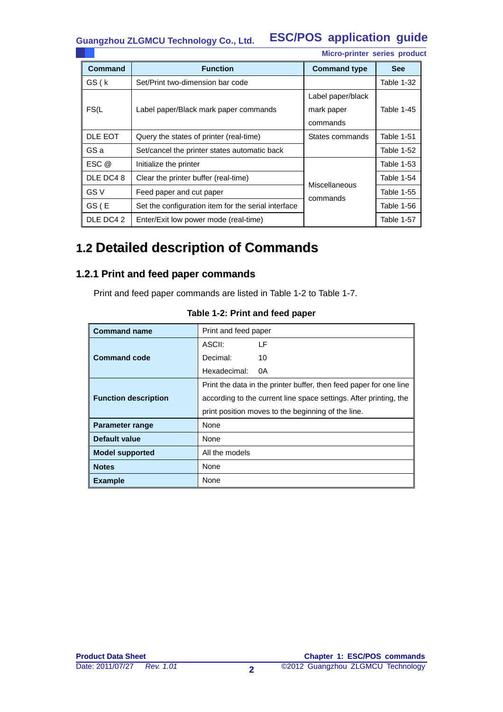**ESC/POS application guide Guangzhou ZLGMCU Technology Co., Ltd.**

|           |                                                     | <b>Micro-printer series product</b>         |            |
|-----------|-----------------------------------------------------|---------------------------------------------|------------|
| Command   | <b>Function</b>                                     | <b>Command type</b>                         | <b>See</b> |
| GS (k     | Set/Print two-dimension bar code                    |                                             | Table 1-32 |
| FS(L)     | Label paper/Black mark paper commands               | Label paper/black<br>mark paper<br>commands | Table 1-45 |
| DLE EOT   | Query the states of printer (real-time)             | States commands                             | Table 1-51 |
| GS a      | Set/cancel the printer states automatic back        |                                             | Table 1-52 |
| ESC @     | Initialize the printer                              |                                             | Table 1-53 |
| DLE DC48  | Clear the printer buffer (real-time)                |                                             | Table 1-54 |
| GS V      | Feed paper and cut paper                            | Miscellaneous                               | Table 1-55 |
| GS (E     | Set the configuration item for the serial interface | commands<br>Table 1-56                      |            |
| DLE DC4 2 | Enter/Exit low power mode (real-time)               |                                             | Table 1-57 |

# **1.2 Detailed description of Commands**

# **1.2.1 Print and feed paper commands**

Print and feed paper commands are listed in Table 1-2 to Table 1-7.

| <b>Command name</b>         | Print and feed paper                                              |                                                                    |  |
|-----------------------------|-------------------------------------------------------------------|--------------------------------------------------------------------|--|
|                             | ASCII:                                                            | LF                                                                 |  |
| <b>Command code</b>         | Decimal:                                                          | 10                                                                 |  |
|                             | Hexadecimal:                                                      | 0A                                                                 |  |
|                             |                                                                   | Print the data in the printer buffer, then feed paper for one line |  |
| <b>Function description</b> | according to the current line space settings. After printing, the |                                                                    |  |
|                             |                                                                   | print position moves to the beginning of the line.                 |  |
| <b>Parameter range</b>      | None                                                              |                                                                    |  |
| <b>Default value</b>        | None                                                              |                                                                    |  |
| <b>Model supported</b>      | All the models                                                    |                                                                    |  |
| <b>Notes</b>                | None                                                              |                                                                    |  |
| <b>Example</b>              | None                                                              |                                                                    |  |

**Table 1-2: Print and feed paper**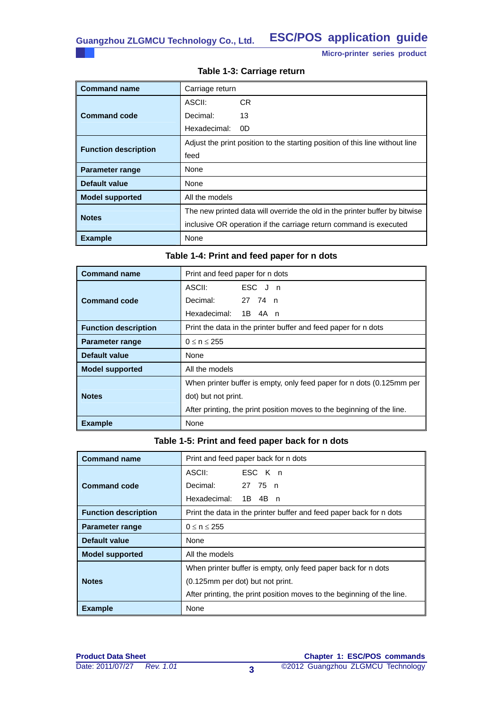| <b>Command name</b>         | Carriage return                                                              |
|-----------------------------|------------------------------------------------------------------------------|
|                             | CR.<br>ASCII:                                                                |
| <b>Command code</b>         | Decimal:<br>13                                                               |
|                             | Hexadecimal:<br>0D.                                                          |
| <b>Function description</b> | Adjust the print position to the starting position of this line without line |
|                             | feed                                                                         |
| <b>Parameter range</b>      | None                                                                         |
| <b>Default value</b>        | None                                                                         |
| <b>Model supported</b>      | All the models                                                               |
| <b>Notes</b>                | The new printed data will override the old in the printer buffer by bitwise  |
|                             | inclusive OR operation if the carriage return command is executed            |
| <b>Example</b>              | None                                                                         |

# **Table 1-4: Print and feed paper for n dots**

| <b>Command name</b>         | Print and feed paper for n dots                                        |
|-----------------------------|------------------------------------------------------------------------|
|                             | ASCII:<br>ESC J n                                                      |
| Command code                | Decimal:<br>27 74 n                                                    |
|                             | Hexadecimal: 1B 4A n                                                   |
| <b>Function description</b> | Print the data in the printer buffer and feed paper for n dots         |
| <b>Parameter range</b>      | $0 \le n \le 255$                                                      |
| Default value               | None                                                                   |
| <b>Model supported</b>      | All the models                                                         |
|                             | When printer buffer is empty, only feed paper for n dots (0.125mm per  |
| <b>Notes</b>                | dot) but not print.                                                    |
|                             | After printing, the print position moves to the beginning of the line. |
| <b>Example</b>              | None                                                                   |

# **Table 1-5: Print and feed paper back for n dots**

| <b>Command name</b>         | Print and feed paper back for n dots                                   |
|-----------------------------|------------------------------------------------------------------------|
|                             | ASCII:<br>FSC K n                                                      |
| <b>Command code</b>         | Decimal:<br>27 75 n                                                    |
|                             | Hexadecimal: 1B 4B n                                                   |
| <b>Function description</b> | Print the data in the printer buffer and feed paper back for n dots    |
| <b>Parameter range</b>      | $0 \le n \le 255$                                                      |
| Default value               | None                                                                   |
| <b>Model supported</b>      | All the models                                                         |
|                             | When printer buffer is empty, only feed paper back for n dots          |
| <b>Notes</b>                | (0.125mm per dot) but not print.                                       |
|                             | After printing, the print position moves to the beginning of the line. |
| <b>Example</b>              | None                                                                   |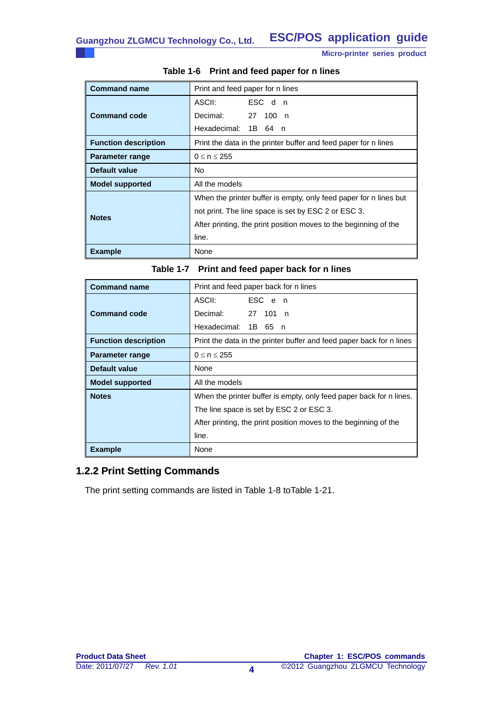| <b>Command name</b>         | Print and feed paper for n lines                                  |
|-----------------------------|-------------------------------------------------------------------|
|                             | ESC d n<br>ASCII:                                                 |
| <b>Command code</b>         | Decimal:<br>27<br>100<br>n n                                      |
|                             | Hexadecimal: 1B 64 n                                              |
| <b>Function description</b> | Print the data in the printer buffer and feed paper for n lines   |
| Parameter range             | $0 \le n \le 255$                                                 |
| Default value               | No.                                                               |
| <b>Model supported</b>      | All the models                                                    |
| <b>Notes</b>                | When the printer buffer is empty, only feed paper for n lines but |
|                             | not print. The line space is set by ESC 2 or ESC 3.               |
|                             | After printing, the print position moves to the beginning of the  |
|                             | line.                                                             |
| <b>Example</b>              | None                                                              |

# **Table 1-6 Print and feed paper for n lines**

|  | Table 1-7 Print and feed paper back for n lines |
|--|-------------------------------------------------|
|--|-------------------------------------------------|

| <b>Command name</b>         | Print and feed paper back for n lines                                |
|-----------------------------|----------------------------------------------------------------------|
|                             | ESC e n<br>ASCII: International                                      |
| <b>Command code</b>         | Decimal:<br>27 101 n                                                 |
|                             | Hexadecimal: 1B 65 n                                                 |
| <b>Function description</b> | Print the data in the printer buffer and feed paper back for n lines |
| Parameter range             | $0 \le n \le 255$                                                    |
| Default value               | None                                                                 |
| <b>Model supported</b>      | All the models                                                       |
| <b>Notes</b>                | When the printer buffer is empty, only feed paper back for n lines.  |
|                             | The line space is set by ESC 2 or ESC 3.                             |
|                             | After printing, the print position moves to the beginning of the     |
|                             | line.                                                                |
| <b>Example</b>              | None                                                                 |

# **1.2.2 Print Setting Commands**

The print setting commands are listed in Table 1-8 toTable 1-21.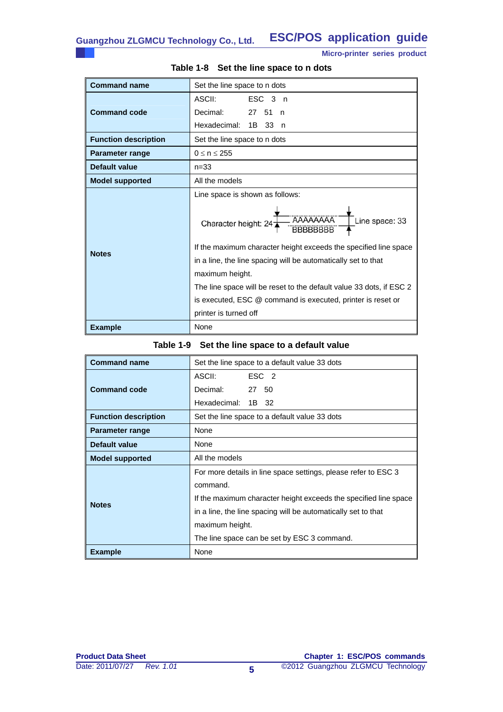| <b>Command name</b>         | Set the line space to n dots                                          |
|-----------------------------|-----------------------------------------------------------------------|
| <b>Command code</b>         | ASCII:<br>ESC <sub>3</sub><br>n                                       |
|                             | Decimal:<br>27<br>51<br>n                                             |
|                             | Hexadecimal:<br>1B<br>33<br>n.                                        |
| <b>Function description</b> | Set the line space to n dots                                          |
| Parameter range             | $0 \le n \le 255$                                                     |
| Default value               | $n = 33$                                                              |
| <b>Model supported</b>      | All the models                                                        |
|                             | Line space is shown as follows:                                       |
|                             | AAAAAAAA<br>Line space: 33<br>Character height: 24<br><b>BBBBBBBB</b> |
|                             | If the maximum character height exceeds the specified line space      |
| <b>Notes</b>                | in a line, the line spacing will be automatically set to that         |
|                             | maximum height.                                                       |
|                             | The line space will be reset to the default value 33 dots, if ESC 2   |
|                             | is executed, ESC @ command is executed, printer is reset or           |
|                             | printer is turned off                                                 |
| <b>Example</b>              | None                                                                  |

## **Table 1-8 Set the line space to n dots**

**Micro-printer series product**

### **Table 1-9 Set the line space to a default value**

| <b>Command name</b>         | Set the line space to a default value 33 dots                    |
|-----------------------------|------------------------------------------------------------------|
|                             | ESC <sub>2</sub><br>ASCII:                                       |
| <b>Command code</b>         | Decimal:<br>27<br>50                                             |
|                             | Hexadecimal: 1B 32                                               |
| <b>Function description</b> | Set the line space to a default value 33 dots                    |
| Parameter range             | None                                                             |
| Default value               | None                                                             |
| <b>Model supported</b>      | All the models                                                   |
| <b>Notes</b>                | For more details in line space settings, please refer to ESC 3   |
|                             | command.                                                         |
|                             | If the maximum character height exceeds the specified line space |
|                             | in a line, the line spacing will be automatically set to that    |
|                             | maximum height.                                                  |
|                             | The line space can be set by ESC 3 command.                      |
| <b>Example</b>              | None                                                             |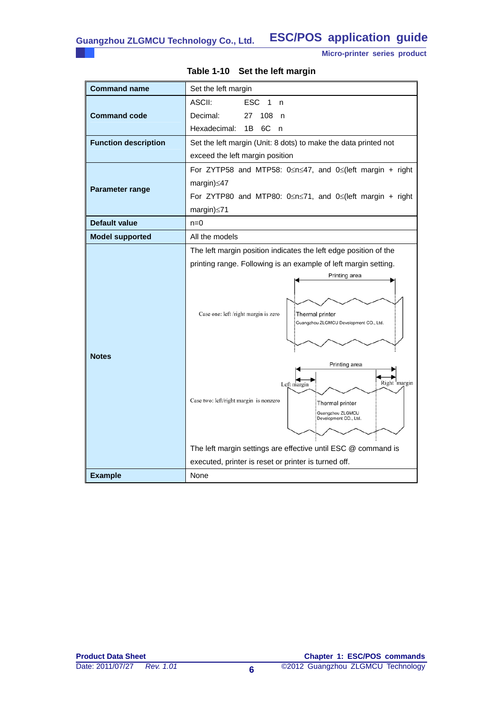| <b>Command name</b>         | Set the left margin                                                                |
|-----------------------------|------------------------------------------------------------------------------------|
|                             | ASCII:<br>ESC.<br>$\mathbf{1}$<br>n                                                |
| <b>Command code</b>         | Decimal:<br>27<br>108<br>n                                                         |
|                             | Hexadecimal:<br>6C<br>1B  <br>n                                                    |
| <b>Function description</b> | Set the left margin (Unit: 8 dots) to make the data printed not                    |
|                             | exceed the left margin position                                                    |
|                             | For ZYTP58 and MTP58: $0 \le n \le 47$ , and $0 \le (left\$ margin + right         |
|                             | margin)≤47                                                                         |
| Parameter range             | For ZYTP80 and MTP80: $0 \le n \le 71$ , and $0 \le (left \text{ margin + right})$ |
|                             | $margin) \le 71$                                                                   |
| <b>Default value</b>        | $n=0$                                                                              |
| <b>Model supported</b>      | All the models                                                                     |
|                             | The left margin position indicates the left edge position of the                   |
|                             | printing range. Following is an example of left margin setting.                    |
|                             | Printing area                                                                      |
|                             |                                                                                    |
|                             |                                                                                    |
|                             | Case one: left /right margin is zero<br>Thermal printer                            |
|                             | Guangzhou ZLGMCU Development CO., Ltd.                                             |
|                             |                                                                                    |
| <b>Notes</b>                |                                                                                    |
|                             | Printing area                                                                      |
|                             | Right margin<br>Left margin                                                        |
|                             | Case two: left/right margin is nonzero                                             |
|                             | Thermal printer<br>Guangzhou ZLGMCU                                                |
|                             | Development CO., Ltd.                                                              |
|                             |                                                                                    |
|                             | The left margin settings are effective until ESC @ command is                      |
|                             | executed, printer is reset or printer is turned off.                               |
| <b>Example</b>              | None                                                                               |

**Table 1-10 Set the left margin**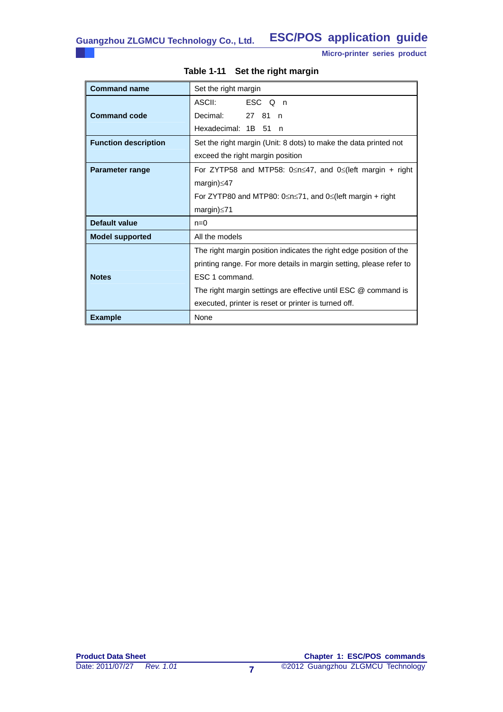| <b>Command name</b>         | Set the right margin                                                               |
|-----------------------------|------------------------------------------------------------------------------------|
|                             | ESC Q n<br>ASCII: International                                                    |
| <b>Command code</b>         | Decimal:<br>27 81<br>n                                                             |
|                             | Hexadecimal: 1B 51<br>n                                                            |
| <b>Function description</b> | Set the right margin (Unit: 8 dots) to make the data printed not                   |
|                             | exceed the right margin position                                                   |
| Parameter range             | For ZYTP58 and MTP58: $0 \le n \le 47$ , and $0 \le (left \text{ margin + right})$ |
|                             | margin)≤47                                                                         |
|                             | For ZYTP80 and MTP80: $0 \le n \le 71$ , and $0 \le$ (left margin + right          |
|                             | $margin) \le 71$                                                                   |
| Default value               | $n=0$                                                                              |
| <b>Model supported</b>      | All the models                                                                     |
|                             | The right margin position indicates the right edge position of the                 |
|                             | printing range. For more details in margin setting, please refer to                |
| <b>Notes</b>                | ESC 1 command.                                                                     |
|                             | The right margin settings are effective until ESC @ command is                     |
|                             | executed, printer is reset or printer is turned off.                               |
| <b>Example</b>              | None                                                                               |

**Table 1-11 Set the right margin**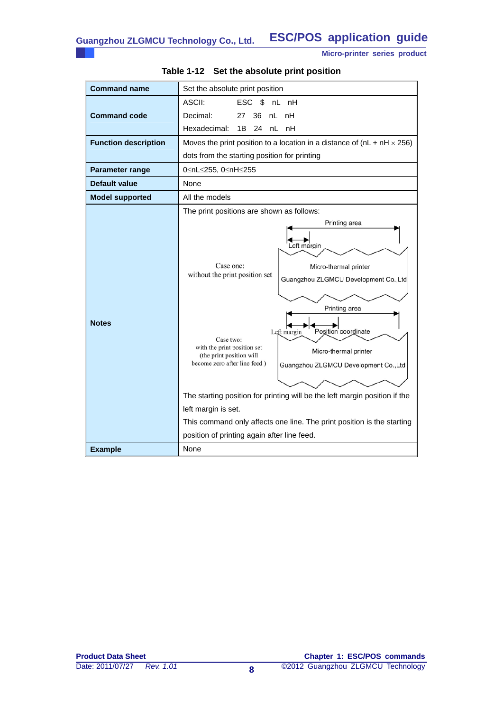| <b>Command name</b>         | Set the absolute print position                                                                   |
|-----------------------------|---------------------------------------------------------------------------------------------------|
|                             | ASCII:<br>ESC \$<br>nL nH                                                                         |
| <b>Command code</b>         | Decimal:<br>36<br>nL<br>nH<br>27                                                                  |
|                             | Hexadecimal:<br>24<br>nL<br>nH<br>1B                                                              |
| <b>Function description</b> | Moves the print position to a location in a distance of $(nL + nH \times 256)$                    |
|                             | dots from the starting position for printing                                                      |
| <b>Parameter range</b>      | 0≤nL≤255, 0≤nH≤255                                                                                |
| <b>Default value</b>        | None                                                                                              |
| <b>Model supported</b>      | All the models                                                                                    |
|                             | The print positions are shown as follows:                                                         |
|                             | Printing area                                                                                     |
|                             |                                                                                                   |
|                             | Left margin                                                                                       |
|                             | Case one:<br>Micro-thermal printer                                                                |
|                             | without the print position set<br>Guangzhou ZLGMCU Development Co., Ltd                           |
|                             |                                                                                                   |
|                             | Printing area                                                                                     |
| <b>Notes</b>                |                                                                                                   |
|                             | Position coordinate<br>Left margin<br>Case two:                                                   |
|                             | with the print position set<br>Micro-thermal printer                                              |
|                             | (the print position will<br>become zero after line feed)<br>Guangzhou ZLGMCU Development Co., Ltd |
|                             |                                                                                                   |
|                             |                                                                                                   |
|                             | The starting position for printing will be the left margin position if the                        |
|                             | left margin is set.                                                                               |
|                             | This command only affects one line. The print position is the starting                            |
|                             | position of printing again after line feed.                                                       |
| <b>Example</b>              | None                                                                                              |

**Table 1-12 Set the absolute print position**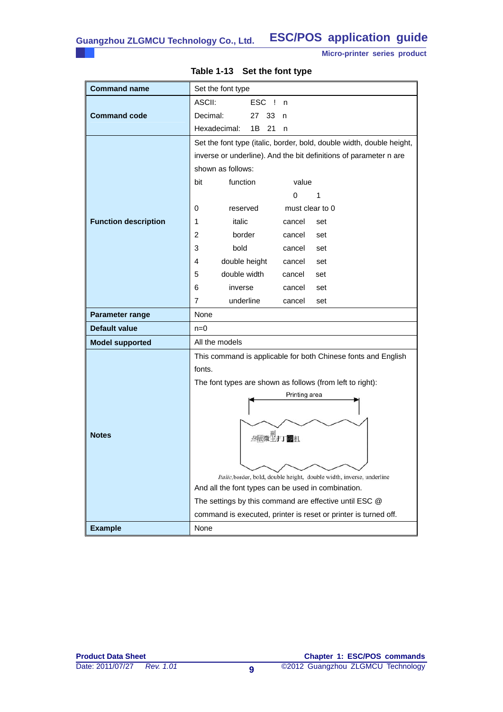**ESC/POS application guide Guangzhou ZLGMCU Technology Co., Ltd.**

**Micro-printer series product**

**Command name** Set the font type ASCII: ESC ! n **Command code**  Decimal: 27 33 n Hexadecimal: 1B 21 n Set the font type (italic, border, bold, double width, double height, inverse or underline). And the bit definitions of parameter n are shown as follows: bit function value <u>0 1</u> 0 reserved must clear to 0 **Function description**  1 italic cancel set 2 border cancel set 3 bold cancel set 4 double height cancel set 5 double width cancel set 6 inverse cancel set 7 underline cancel set **Parameter range** | None **Default value n=0 Model supported** All the models This command is applicable for both Chinese fonts and English fonts. The font types are shown as follows (from left to right): Printing area **Notes 热顾微型打印机** 

|  | Table 1-13 Set the font type |  |
|--|------------------------------|--|
|  |                              |  |

**Example** None

And all the font types can be used in combination.

The settings by this command are effective until ESC @ command is executed, printer is reset or printer is turned off.

Italic, border, bold, double height, double width, inverse, underline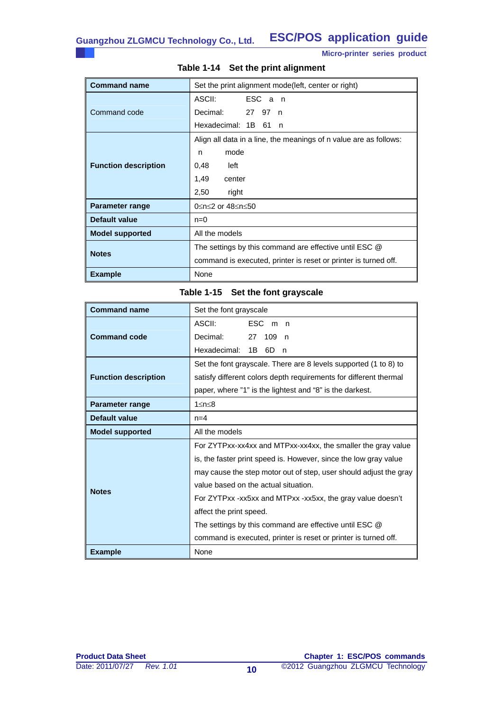| <b>Command name</b>         | Set the print alignment mode(left, center or right)               |  |  |  |
|-----------------------------|-------------------------------------------------------------------|--|--|--|
|                             | ASCII:<br>ESC a n                                                 |  |  |  |
| Command code                | Decimal:<br>27 97<br>$\mathsf{n}$                                 |  |  |  |
|                             | Hexadecimal: 1B 61 n                                              |  |  |  |
|                             | Align all data in a line, the meanings of n value are as follows: |  |  |  |
|                             | mode<br>n                                                         |  |  |  |
| <b>Function description</b> | 0,48<br>left                                                      |  |  |  |
|                             | 1,49<br>center                                                    |  |  |  |
|                             | 2,50<br>right                                                     |  |  |  |
| Parameter range             | 0≤n≤2 or 48≤n≤50                                                  |  |  |  |
| Default value               | $n=0$                                                             |  |  |  |
| <b>Model supported</b>      | All the models                                                    |  |  |  |
|                             | The settings by this command are effective until ESC @            |  |  |  |
| <b>Notes</b>                | command is executed, printer is reset or printer is turned off.   |  |  |  |
| <b>Example</b>              | None                                                              |  |  |  |

# **Table 1-14 Set the print alignment**

|  | Table 1-15 Set the font grayscale |
|--|-----------------------------------|
|--|-----------------------------------|

| <b>Command name</b>         | Set the font grayscale                                            |  |  |
|-----------------------------|-------------------------------------------------------------------|--|--|
|                             | ESC m n<br>ASCII:                                                 |  |  |
| <b>Command code</b>         | Decimal:<br>27<br>109<br>n,                                       |  |  |
|                             | Hexadecimal:<br>1B<br>6D<br>n                                     |  |  |
|                             | Set the font grayscale. There are 8 levels supported (1 to 8) to  |  |  |
| <b>Function description</b> | satisfy different colors depth requirements for different thermal |  |  |
|                             | paper, where "1" is the lightest and "8" is the darkest.          |  |  |
| Parameter range             | $1 \le n \le 8$                                                   |  |  |
| Default value               | $n=4$                                                             |  |  |
| <b>Model supported</b>      | All the models                                                    |  |  |
|                             | For ZYTPxx-xx4xx and MTPxx-xx4xx, the smaller the gray value      |  |  |
|                             | is, the faster print speed is. However, since the low gray value  |  |  |
|                             | may cause the step motor out of step, user should adjust the gray |  |  |
| <b>Notes</b>                | value based on the actual situation.                              |  |  |
|                             | For ZYTPxx -xx5xx and MTPxx -xx5xx, the gray value doesn't        |  |  |
|                             | affect the print speed.                                           |  |  |
|                             | The settings by this command are effective until ESC @            |  |  |
|                             | command is executed, printer is reset or printer is turned off.   |  |  |
| <b>Example</b>              | None                                                              |  |  |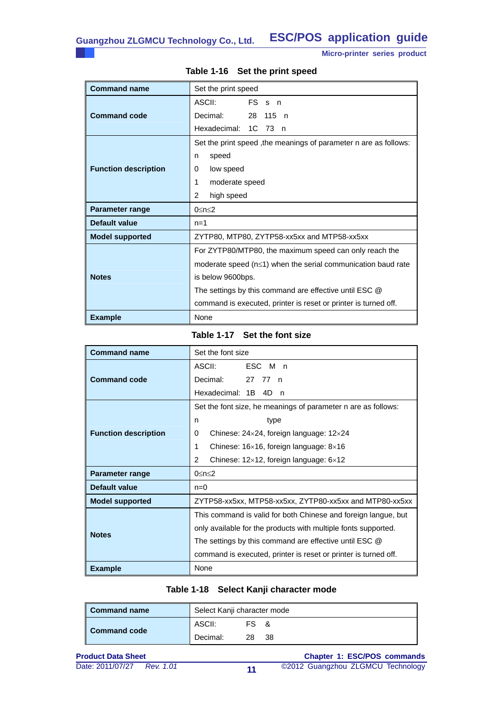**Command name** Set the print speed **Command code**  ASCII: FS s n Decimal: 28 115 n Hexadecimal: 1C 73 n **Function description**  Set the print speed ,the meanings of parameter n are as follows: n speed 0 low speed 1 moderate speed 2 high speed **Parameter range**  0≤n≤2 **Default value n=1 Model supported <br>ZYTP80, MTP80, ZYTP58-xx5xx and MTP58-xx5xx Notes**  For ZYTP80/MTP80, the maximum speed can only reach the moderate speed (n≤1) when the serial communication baud rate is below 9600bps. The settings by this command are effective until ESC @ command is executed, printer is reset or printer is turned off. **Example** None

### **Table 1-16 Set the print speed**

## **Table 1-17 Set the font size**

| <b>Command name</b>         | Set the font size                                               |  |  |  |  |
|-----------------------------|-----------------------------------------------------------------|--|--|--|--|
|                             | FSC M n<br>ASCII:                                               |  |  |  |  |
| <b>Command code</b>         | Decimal:<br>27<br>77<br>n                                       |  |  |  |  |
|                             | Hexadecimal: 1B 4D<br>n                                         |  |  |  |  |
|                             | Set the font size, he meanings of parameter n are as follows:   |  |  |  |  |
|                             | type<br>n                                                       |  |  |  |  |
| <b>Function description</b> | Chinese: $24\times24$ , foreign language: $12\times24$<br>0     |  |  |  |  |
|                             | Chinese: $16\times16$ , foreign language: $8\times16$<br>1      |  |  |  |  |
|                             | 2<br>Chinese: $12\times12$ , foreign language: $6\times12$      |  |  |  |  |
| Parameter range             | 0 $\leq n \leq 2$                                               |  |  |  |  |
| Default value               | $n=0$                                                           |  |  |  |  |
| <b>Model supported</b>      | ZYTP58-xx5xx, MTP58-xx5xx, ZYTP80-xx5xx and MTP80-xx5xx         |  |  |  |  |
|                             | This command is valid for both Chinese and foreign langue, but  |  |  |  |  |
| <b>Notes</b>                | only available for the products with multiple fonts supported.  |  |  |  |  |
|                             | The settings by this command are effective until ESC @          |  |  |  |  |
|                             | command is executed, printer is reset or printer is turned off. |  |  |  |  |
| <b>Example</b>              | None                                                            |  |  |  |  |

### **Table 1-18 Select Kanji character mode**

| ∥ Command name | Select Kanji character mode |     |    |
|----------------|-----------------------------|-----|----|
|                | ASCII:                      | FS. | ጼ  |
| ∥ Command code | Decimal:                    | 28  | 38 |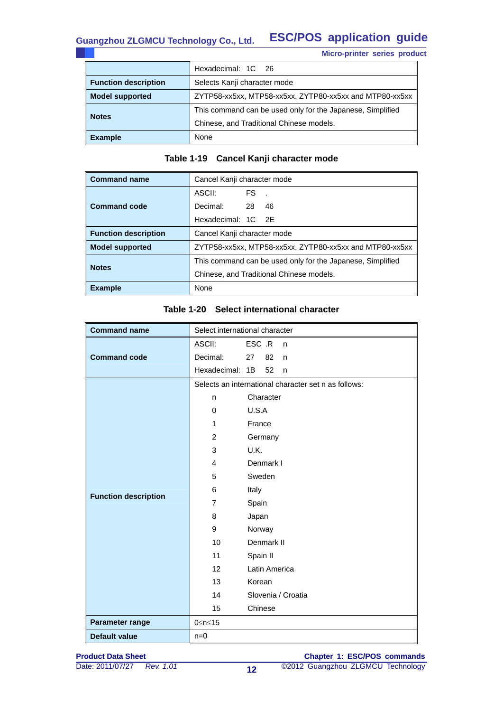|                             | Hexadecimal: 1C 26                                         |  |  |
|-----------------------------|------------------------------------------------------------|--|--|
| <b>Function description</b> | Selects Kanji character mode                               |  |  |
| <b>Model supported</b>      | ZYTP58-xx5xx, MTP58-xx5xx, ZYTP80-xx5xx and MTP80-xx5xx    |  |  |
| <b>Notes</b>                | This command can be used only for the Japanese, Simplified |  |  |
|                             | Chinese, and Traditional Chinese models.                   |  |  |
| <b>Example</b>              | None                                                       |  |  |

# **Table 1-19 Cancel Kanji character mode**

| <b>Command name</b>         | Cancel Kanji character mode                                |     |    |  |
|-----------------------------|------------------------------------------------------------|-----|----|--|
|                             | ASCII:                                                     | FS. |    |  |
| <b>Command code</b>         | Decimal: 28                                                |     | 46 |  |
|                             | Hexadecimal: 1C 2E                                         |     |    |  |
| <b>Function description</b> | Cancel Kanji character mode                                |     |    |  |
| <b>Model supported</b>      | ZYTP58-xx5xx, MTP58-xx5xx, ZYTP80-xx5xx and MTP80-xx5xx    |     |    |  |
| <b>Notes</b>                | This command can be used only for the Japanese, Simplified |     |    |  |
|                             | Chinese, and Traditional Chinese models.                   |     |    |  |
| <b>Example</b>              | None                                                       |     |    |  |

# **Table 1-20 Select international character**

| <b>Command name</b>         | Select international character |                                                      |  |  |  |  |
|-----------------------------|--------------------------------|------------------------------------------------------|--|--|--|--|
|                             | ASCII:                         | ESC .R<br>n                                          |  |  |  |  |
| <b>Command code</b>         | Decimal:                       | 27<br>82<br>n                                        |  |  |  |  |
|                             | Hexadecimal: 1B                | 52<br>n.                                             |  |  |  |  |
|                             |                                | Selects an international character set n as follows: |  |  |  |  |
|                             | n.                             | Character                                            |  |  |  |  |
|                             | 0                              | U.S.A                                                |  |  |  |  |
|                             | 1                              | France                                               |  |  |  |  |
|                             | $\overline{c}$                 | Germany                                              |  |  |  |  |
|                             | 3                              | U.K.                                                 |  |  |  |  |
|                             | 4                              | Denmark I                                            |  |  |  |  |
|                             | 5                              | Sweden                                               |  |  |  |  |
|                             | 6                              | Italy                                                |  |  |  |  |
| <b>Function description</b> | $\overline{7}$                 | Spain                                                |  |  |  |  |
|                             | 8                              | Japan                                                |  |  |  |  |
|                             | 9                              | Norway                                               |  |  |  |  |
|                             | 10                             | Denmark II                                           |  |  |  |  |
|                             | 11                             | Spain II                                             |  |  |  |  |
|                             | 12                             | Latin America                                        |  |  |  |  |
|                             | 13                             | Korean                                               |  |  |  |  |
|                             | 14                             | Slovenia / Croatia                                   |  |  |  |  |
|                             | 15                             | Chinese                                              |  |  |  |  |
| Parameter range             | 0≤n≤15                         |                                                      |  |  |  |  |
| <b>Default value</b>        | $n=0$                          |                                                      |  |  |  |  |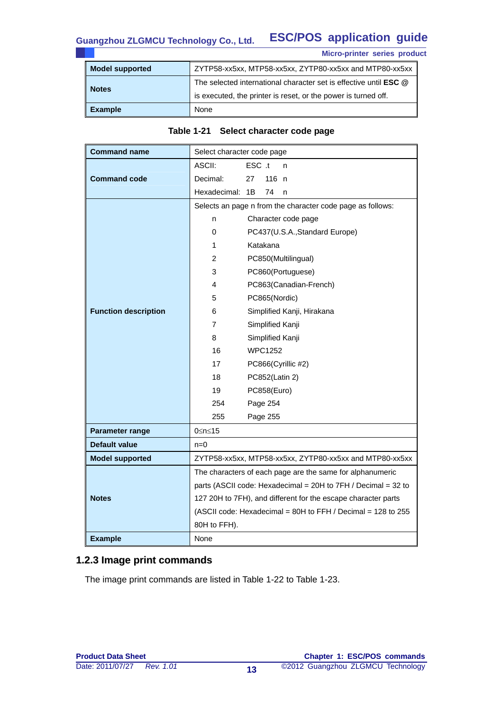#### **ESC/POS application guide Guangzhou ZLGMCU Technology Co., Ltd.**

| <b>Micro-printer series product</b> |  |
|-------------------------------------|--|
|                                     |  |

| Model supported        | ZYTP58-xx5xx, MTP58-xx5xx, ZYTP80-xx5xx and MTP80-xx5xx                  |
|------------------------|--------------------------------------------------------------------------|
| <b>I</b> Notes         | The selected international character set is effective until <b>ESC</b> @ |
|                        | is executed, the printer is reset, or the power is turned off.           |
| $\blacksquare$ Example | None                                                                     |

| <b>Command name</b>         | Select character code page                                   |                                                               |  |  |
|-----------------------------|--------------------------------------------------------------|---------------------------------------------------------------|--|--|
|                             | ASCII:                                                       | ESC .t<br>n                                                   |  |  |
| <b>Command code</b>         | Decimal:                                                     | 116 n<br>27                                                   |  |  |
|                             | Hexadecimal:                                                 | 1B<br>74<br>n                                                 |  |  |
|                             | Selects an page n from the character code page as follows:   |                                                               |  |  |
|                             | Character code page<br>n                                     |                                                               |  |  |
|                             | 0                                                            | PC437(U.S.A., Standard Europe)                                |  |  |
|                             | 1                                                            | Katakana                                                      |  |  |
|                             | 2                                                            | PC850(Multilingual)                                           |  |  |
|                             | 3                                                            | PC860(Portuguese)                                             |  |  |
|                             | 4                                                            | PC863(Canadian-French)                                        |  |  |
|                             | 5                                                            | PC865(Nordic)                                                 |  |  |
| <b>Function description</b> | 6                                                            | Simplified Kanji, Hirakana                                    |  |  |
|                             | 7                                                            | Simplified Kanji                                              |  |  |
|                             | 8                                                            | Simplified Kanji                                              |  |  |
|                             | 16                                                           | <b>WPC1252</b>                                                |  |  |
|                             | 17                                                           | PC866(Cyrillic #2)                                            |  |  |
|                             | 18                                                           | PC852(Latin 2)                                                |  |  |
|                             | 19                                                           | PC858(Euro)                                                   |  |  |
|                             | 254                                                          | Page 254                                                      |  |  |
|                             | 255                                                          | Page 255                                                      |  |  |
| Parameter range             | 0≤n≤15                                                       |                                                               |  |  |
| <b>Default value</b>        | $n=0$                                                        |                                                               |  |  |
| <b>Model supported</b>      | ZYTP58-xx5xx, MTP58-xx5xx, ZYTP80-xx5xx and MTP80-xx5xx      |                                                               |  |  |
|                             | The characters of each page are the same for alphanumeric    |                                                               |  |  |
|                             |                                                              | parts (ASCII code: Hexadecimal = 20H to 7FH / Decimal = 32 to |  |  |
| <b>Notes</b>                |                                                              | 127 20H to 7FH), and different for the escape character parts |  |  |
|                             | (ASCII code: Hexadecimal = 80H to FFH / Decimal = 128 to 255 |                                                               |  |  |
|                             | 80H to FFH).                                                 |                                                               |  |  |
| <b>Example</b>              | None                                                         |                                                               |  |  |

# **Table 1-21 Select character code page**

# **1.2.3 Image print commands**

The image print commands are listed in Table 1-22 to Table 1-23.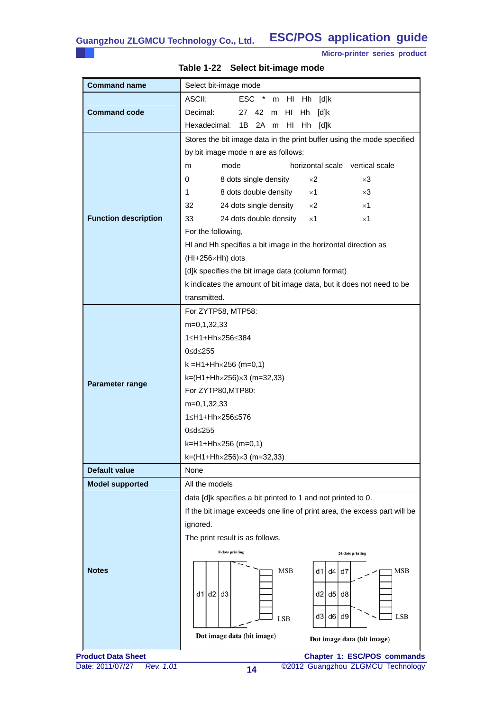**Command name** <br>Select bit-image mode ASCII: ESC \* m HI Hh [d]k **Command code**  Decimal: 27 42 m HI Hh [d]k Hexadecimal: 1B 2A m HI Hh [d]k Stores the bit image data in the print buffer using the mode specified by bit image mode n are as follows: m mode horizontal scale vertical scale 0 8 dots single density  $\times 2$   $\times 3$ 1 8 dots double density  $\times 1$   $\times 3$ 32 24 dots single density  $\times 2$   $\times 1$ **Function description**  33 24 dots double density  $\times 1$   $\times 1$ For the following, Hl and Hh specifies a bit image in the horizontal direction as (HI+256×Hh) dots [d]k specifies the bit image data (column format) k indicates the amount of bit image data, but it does not need to be transmitted. For ZYTP58, MTP58: m=0,1,32,33 1≤H1+Hh×256≤384 0≤d≤255  $k = H1 + Hh \times 256$  (m=0,1) k=(H1+Hh×256)×3 (m=32,33) **Parameter range**  For ZYTP80,MTP80: m=0,1,32,33 1≤H1+Hh×256≤576 0≤d≤255 k=H1+Hh×256 (m=0,1) k=(H1+Hh×256)×3 (m=32,33) **Default value None Model supported** All the models data [d]k specifies a bit printed to 1 and not printed to 0. If the bit image exceeds one line of print area, the excess part will be ignored. The print result is as follows. 8 dots printing 24 dots printing **Notes MSB**  $d1$  d<sub>4</sub>  $d7$ **MSB**  $d1$  d2 d3  $d2$  $d<sub>5</sub>$  $d8$ LSB d<sub>3</sub> d6 d<sub>9</sub> **LSB** Dot image data (bit image) Dot image data (bit image)

#### **Table 1-22 Select bit-image mode**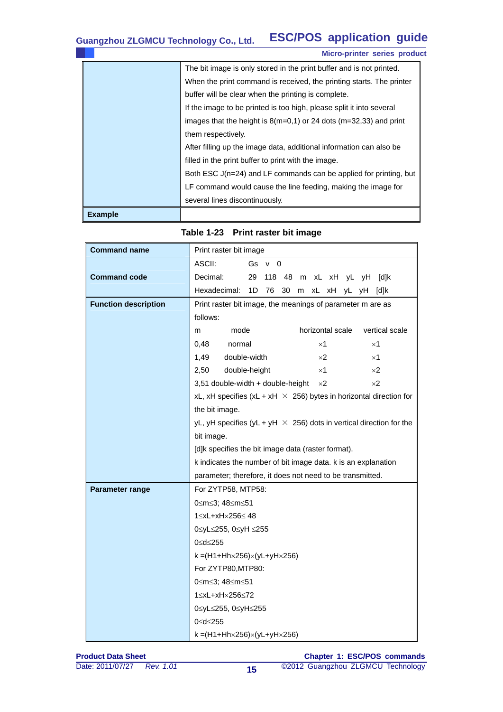|                | <b>Micro-printer series product</b>                                   |
|----------------|-----------------------------------------------------------------------|
|                | The bit image is only stored in the print buffer and is not printed.  |
|                | When the print command is received, the printing starts. The printer  |
|                | buffer will be clear when the printing is complete.                   |
|                | If the image to be printed is too high, please split it into several  |
|                | images that the height is $8(m=0,1)$ or 24 dots $(m=32,33)$ and print |
|                | them respectively.                                                    |
|                | After filling up the image data, additional information can also be   |
|                | filled in the print buffer to print with the image.                   |
|                | Both ESC J(n=24) and LF commands can be applied for printing, but     |
|                | LF command would cause the line feeding, making the image for         |
|                | several lines discontinuously.                                        |
| <b>Example</b> |                                                                       |

| <b>Command name</b>         | Print raster bit image                                                        |  |  |
|-----------------------------|-------------------------------------------------------------------------------|--|--|
|                             | ASCII:<br>Gs $v = 0$                                                          |  |  |
| <b>Command code</b>         | Decimal:<br>29<br>118 48 m xL xH yL yH [d]k                                   |  |  |
|                             | Hexadecimal:<br>30<br>1D<br>76<br>xL xH yL yH [d]k<br>m                       |  |  |
| <b>Function description</b> | Print raster bit image, the meanings of parameter m are as                    |  |  |
|                             | follows:                                                                      |  |  |
|                             | horizontal scale<br>vertical scale<br>mode<br>m                               |  |  |
|                             | 0,48<br>normal<br>$\times$ 1<br>$\times$ 1                                    |  |  |
|                             | 1,49<br>double-width<br>$\times 2$<br>$\times$ 1                              |  |  |
|                             | 2,50<br>double-height<br>$\times$ 1<br>$\times 2$                             |  |  |
|                             | 3,51 double-width + double-height<br>$\times 2$<br>$\times 2$                 |  |  |
|                             | xL, xH specifies (xL + xH $\,\times\,$ 256) bytes in horizontal direction for |  |  |
|                             | the bit image.                                                                |  |  |
|                             | yL, yH specifies (yL + yH $\times$ 256) dots in vertical direction for the    |  |  |
|                             | bit image.                                                                    |  |  |
|                             | [d]k specifies the bit image data (raster format).                            |  |  |
|                             | k indicates the number of bit image data. k is an explanation                 |  |  |
|                             | parameter; therefore, it does not need to be transmitted.                     |  |  |
| Parameter range             | For ZYTP58, MTP58:                                                            |  |  |
|                             | 0≤m≤3; 48≤m≤51                                                                |  |  |
|                             | 1≤xL+xH×256≤ 48                                                               |  |  |
|                             | 0≤yL≤255, 0≤yH ≤255                                                           |  |  |
|                             | 0≤d≤255                                                                       |  |  |
|                             | $k = (H1 + Hh \times 256) \times (yL + yH \times 256)$                        |  |  |
|                             | For ZYTP80, MTP80:                                                            |  |  |
|                             | 0≤m≤3; 48≤m≤51                                                                |  |  |
|                             | 1≤xL+xH×256≤72                                                                |  |  |
|                             | 0≤yL≤255, 0≤yH≤255                                                            |  |  |
|                             | 0≤d≤255                                                                       |  |  |
|                             | $k = (H1 + Hh \times 256) \times (yL + yH \times 256)$                        |  |  |

# **Table 1-23 Print raster bit image**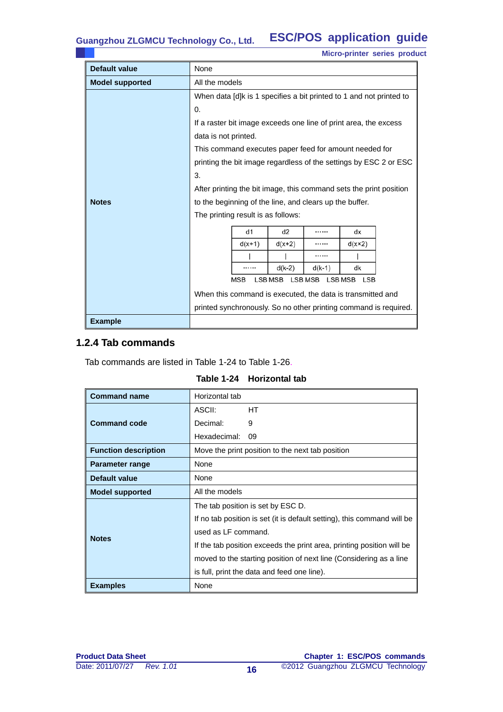|                        | <b>Micro-printer series product</b>                                       |  |  |
|------------------------|---------------------------------------------------------------------------|--|--|
| Default value          | None                                                                      |  |  |
| <b>Model supported</b> | All the models                                                            |  |  |
|                        | When data [d]k is 1 specifies a bit printed to 1 and not printed to<br>0. |  |  |
|                        | If a raster bit image exceeds one line of print area, the excess          |  |  |
|                        | data is not printed.                                                      |  |  |
|                        | This command executes paper feed for amount needed for                    |  |  |
|                        | printing the bit image regardless of the settings by ESC 2 or ESC         |  |  |
|                        | 3.                                                                        |  |  |
|                        | After printing the bit image, this command sets the print position        |  |  |
| <b>Notes</b>           | to the beginning of the line, and clears up the buffer.                   |  |  |
|                        | The printing result is as follows:                                        |  |  |
|                        | d1<br>d2<br>dx<br>                                                        |  |  |
|                        | $d(x+1)$<br>$d(x \times 2)$<br>$d(x+2)$<br>                               |  |  |
|                        |                                                                           |  |  |
|                        | $d(k-2)$<br>dk<br>$d(k-1)$<br>                                            |  |  |
|                        | <b>LSB MSB</b><br><b>LSB MSB</b><br><b>MSB</b><br><b>LSB MSB</b><br>LSB   |  |  |
|                        | When this command is executed, the data is transmitted and                |  |  |
|                        | printed synchronously. So no other printing command is required.          |  |  |
| <b>Example</b>         |                                                                           |  |  |

# **1.2.4 Tab commands**

Tab commands are listed in Table 1-24 to Table 1-26.

**Table 1-24 Horizontal tab** 

| <b>Command name</b>         | Horizontal tab                                                          |                                                  |  |
|-----------------------------|-------------------------------------------------------------------------|--------------------------------------------------|--|
|                             | ASCII:                                                                  | HТ                                               |  |
| <b>Command code</b>         | Decimal:                                                                | 9                                                |  |
|                             | Hexadecimal:                                                            | 09                                               |  |
| <b>Function description</b> |                                                                         | Move the print position to the next tab position |  |
| Parameter range             | None                                                                    |                                                  |  |
| Default value               | None                                                                    |                                                  |  |
| <b>Model supported</b>      | All the models                                                          |                                                  |  |
| <b>Notes</b>                |                                                                         | The tab position is set by ESC D.                |  |
|                             | If no tab position is set (it is default setting), this command will be |                                                  |  |
|                             | used as LF command.                                                     |                                                  |  |
|                             | If the tab position exceeds the print area, printing position will be   |                                                  |  |
|                             | moved to the starting position of next line (Considering as a line      |                                                  |  |
|                             |                                                                         | is full, print the data and feed one line).      |  |
| <b>Examples</b>             | None                                                                    |                                                  |  |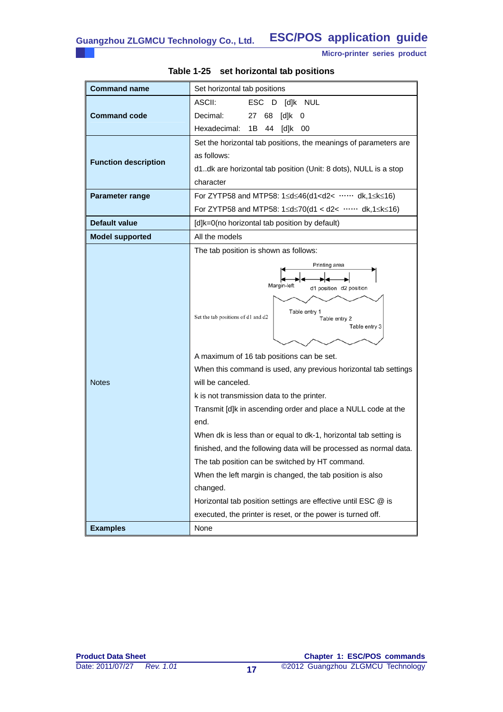| <b>Command name</b>         | Set horizontal tab positions                                                     |  |
|-----------------------------|----------------------------------------------------------------------------------|--|
|                             | ASCII:<br>ESC D [d]k NUL                                                         |  |
| <b>Command code</b>         | Decimal:<br>[d]k 0<br>27<br>68                                                   |  |
|                             | Hexadecimal:<br>44 [d]k 00<br>1B                                                 |  |
|                             | Set the horizontal tab positions, the meanings of parameters are                 |  |
|                             | as follows:                                                                      |  |
| <b>Function description</b> | d1dk are horizontal tab position (Unit: 8 dots), NULL is a stop                  |  |
|                             | character                                                                        |  |
| <b>Parameter range</b>      | For ZYTP58 and MTP58: $1 \le d \le 46(d1 < d2 < \cdots d$ dk, $1 \le k \le 16$ ) |  |
|                             | For ZYTP58 and MTP58: $1 ≤ d ≤ 70(d1 < d2 < \cdots$ dk, $1 ≤ k ≤ 16)$            |  |
| <b>Default value</b>        | [d]k=0(no horizontal tab position by default)                                    |  |
| <b>Model supported</b>      | All the models                                                                   |  |
|                             | The tab position is shown as follows:                                            |  |
|                             | Printing area                                                                    |  |
|                             | Margin-left                                                                      |  |
|                             | d1 position d2 position                                                          |  |
|                             | Table entry 1<br>Set the tab positions of d1 and d2<br>Table entry 2             |  |
|                             | Table entry 3                                                                    |  |
|                             | A maximum of 16 tab positions can be set.                                        |  |
|                             | When this command is used, any previous horizontal tab settings                  |  |
| <b>Notes</b>                | will be canceled.                                                                |  |
|                             | k is not transmission data to the printer.                                       |  |
|                             | Transmit [d]k in ascending order and place a NULL code at the                    |  |
|                             | end.                                                                             |  |
|                             | When dk is less than or equal to dk-1, horizontal tab setting is                 |  |
|                             | finished, and the following data will be processed as normal data.               |  |
|                             | The tab position can be switched by HT command.                                  |  |
|                             | When the left margin is changed, the tab position is also                        |  |
|                             | changed.                                                                         |  |
|                             | Horizontal tab position settings are effective until ESC @ is                    |  |
|                             | executed, the printer is reset, or the power is turned off.                      |  |
| <b>Examples</b>             | None                                                                             |  |

# **Table 1-25 set horizontal tab positions**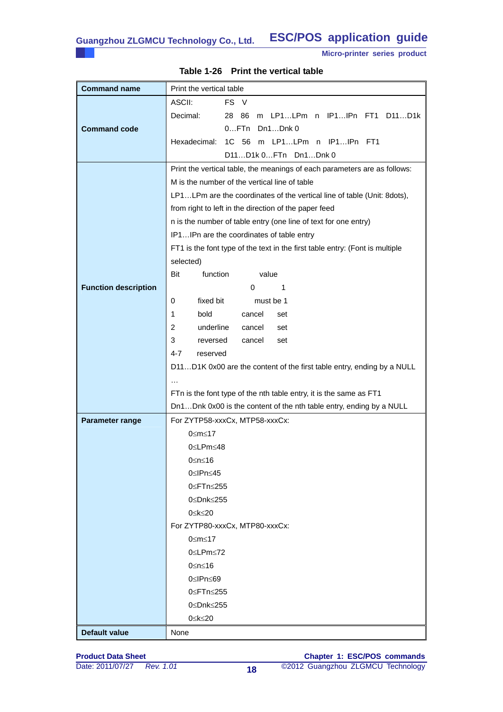| <b>Command name</b>         | Print the vertical table                                                     |  |  |
|-----------------------------|------------------------------------------------------------------------------|--|--|
|                             | ASCII:<br>FS V                                                               |  |  |
|                             | Decimal:<br>28 86<br>m LP1LPm n IP1IPn FT1 D11D1k                            |  |  |
| <b>Command code</b>         | $0$ FTn $Dn1Dnk0$                                                            |  |  |
|                             | Hexadecimal:<br>1C 56 m LP1LPm n IP1IPn FT1                                  |  |  |
|                             | D11D1k 0FTn Dn1Dnk 0                                                         |  |  |
|                             | Print the vertical table, the meanings of each parameters are as follows:    |  |  |
|                             | M is the number of the vertical line of table                                |  |  |
|                             | LP1LPm are the coordinates of the vertical line of table (Unit: 8dots),      |  |  |
|                             | from right to left in the direction of the paper feed                        |  |  |
|                             | n is the number of table entry (one line of text for one entry)              |  |  |
|                             | IP1IPn are the coordinates of table entry                                    |  |  |
|                             | FT1 is the font type of the text in the first table entry: (Font is multiple |  |  |
|                             | selected)<br>Bit<br>function<br>value                                        |  |  |
| <b>Function description</b> | 0<br>1                                                                       |  |  |
|                             | fixed bit<br>must be 1<br>0                                                  |  |  |
|                             | 1<br>bold<br>cancel<br>set                                                   |  |  |
|                             | underline<br>2<br>cancel<br>set                                              |  |  |
|                             | 3<br>reversed<br>cancel<br>set                                               |  |  |
|                             | 4-7<br>reserved                                                              |  |  |
|                             | D11D1K 0x00 are the content of the first table entry, ending by a NULL       |  |  |
|                             |                                                                              |  |  |
|                             | FTn is the font type of the nth table entry, it is the same as FT1           |  |  |
|                             | Dn1Dnk 0x00 is the content of the nth table entry, ending by a NULL          |  |  |
| <b>Parameter range</b>      | For ZYTP58-xxxCx, MTP58-xxxCx:                                               |  |  |
|                             | 0≤m≤17                                                                       |  |  |
|                             | 0≤LPm≤48                                                                     |  |  |
|                             | 0≤n≤16                                                                       |  |  |
|                             | 0≤IPn≤45                                                                     |  |  |
|                             | 0≤FTn≤255                                                                    |  |  |
|                             | 0≤Dnk≤255                                                                    |  |  |
|                             | 0≤k≤20                                                                       |  |  |
|                             | For ZYTP80-xxxCx, MTP80-xxxCx:                                               |  |  |
|                             | 0≤m≤17                                                                       |  |  |
|                             | 0≤LPm≤72                                                                     |  |  |
|                             | 0≤n≤16                                                                       |  |  |
|                             | 0≤IPn≤69                                                                     |  |  |
|                             | 0≤FTn≤255                                                                    |  |  |
|                             | 0≤Dnk≤255<br>0≤k≤20                                                          |  |  |
| <b>Default value</b>        | None                                                                         |  |  |
|                             |                                                                              |  |  |

|  |  |  | Table 1-26 Print the vertical table |
|--|--|--|-------------------------------------|
|--|--|--|-------------------------------------|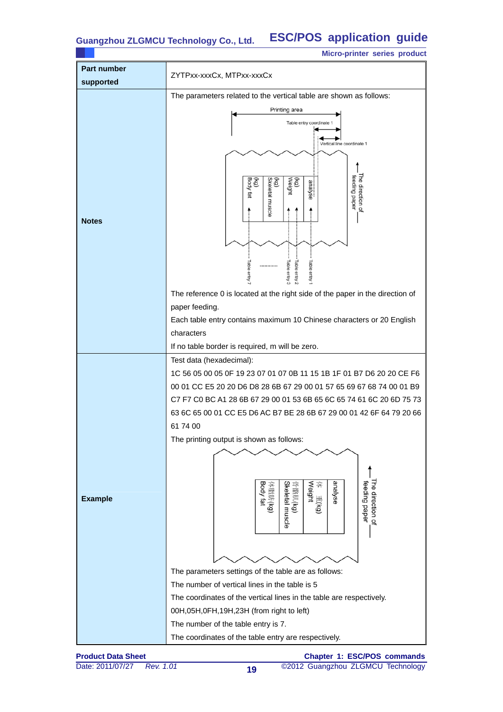#### **ESC/POS application guide Guangzhou ZLGMCU Technology Co., Ltd.**

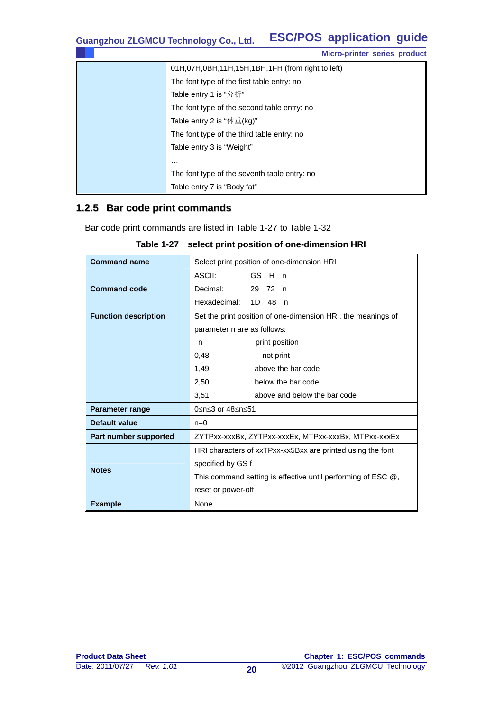|                                                  | <b>Micro-printer series product</b> |  |
|--------------------------------------------------|-------------------------------------|--|
| 01H,07H,0BH,11H,15H,1BH,1FH (from right to left) |                                     |  |
| The font type of the first table entry: no       |                                     |  |
| Table entry 1 is "分析"                            |                                     |  |
| The font type of the second table entry: no      |                                     |  |
| Table entry 2 is " $\sqrt{p}$ $\mathbb{E}$ (kg)" |                                     |  |
| The font type of the third table entry: no       |                                     |  |
| Table entry 3 is "Weight"                        |                                     |  |
| $\cdots$                                         |                                     |  |
| The font type of the seventh table entry: no     |                                     |  |
| Table entry 7 is "Body fat"                      |                                     |  |

# **1.2.5 Bar code print commands**

Bar code print commands are listed in Table 1-27 to Table 1-32

| <b>Command name</b>         | Select print position of one-dimension HRI                      |  |
|-----------------------------|-----------------------------------------------------------------|--|
|                             | ASCII: International<br>GS H n                                  |  |
| <b>Command code</b>         | Decimal:<br>29 72<br>n                                          |  |
|                             | Hexadecimal:<br>1D<br>48<br>n,                                  |  |
| <b>Function description</b> | Set the print position of one-dimension HRI, the meanings of    |  |
|                             | parameter n are as follows:                                     |  |
|                             | print position<br>n                                             |  |
|                             | 0,48<br>not print                                               |  |
|                             | 1,49<br>above the bar code                                      |  |
|                             | 2,50<br>below the bar code                                      |  |
|                             | 3,51<br>above and below the bar code                            |  |
| Parameter range             | 0 <n 3="" 48="" 51<="" <="" <n="" or="" th=""></n>              |  |
| Default value               | $n=0$                                                           |  |
| Part number supported       | ZYTPxx-xxxBx, ZYTPxx-xxxEx, MTPxx-xxxBx, MTPxx-xxxEx            |  |
|                             | HRI characters of xxTPxx-xx5Bxx are printed using the font      |  |
| <b>Notes</b>                | specified by GS f                                               |  |
|                             | This command setting is effective until performing of ESC $@$ , |  |
|                             | reset or power-off                                              |  |
| <b>Example</b>              | None                                                            |  |

# **Table 1-27 select print position of one-dimension HRI**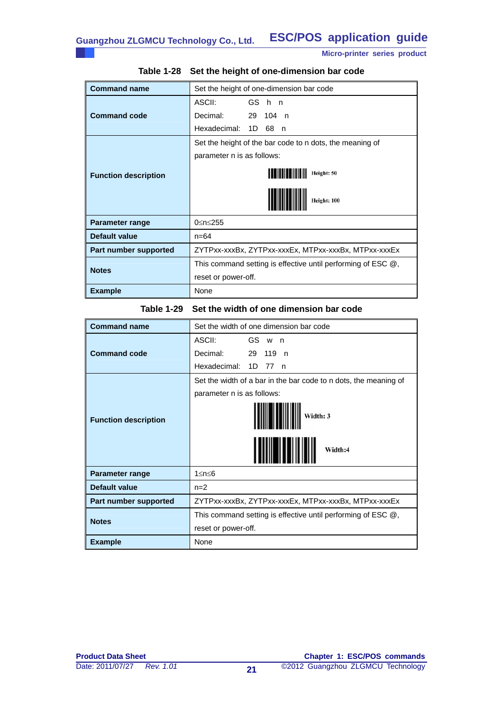| <b>Command name</b>         | Set the height of one-dimension bar code                     |  |
|-----------------------------|--------------------------------------------------------------|--|
|                             | GS h n<br>ASCII:                                             |  |
| <b>Command code</b>         | Decimal:<br>29 104 n                                         |  |
|                             | Hexadecimal: 1D 68 n                                         |  |
|                             | Set the height of the bar code to n dots, the meaning of     |  |
|                             | parameter n is as follows:                                   |  |
| <b>Function description</b> | <u> 1111111111111111</u><br>Height: 50                       |  |
|                             | Height: 100                                                  |  |
| <b>Parameter range</b>      | 0≤n≤255                                                      |  |
| Default value               | $n = 64$                                                     |  |
| Part number supported       | ZYTPxx-xxxBx, ZYTPxx-xxxEx, MTPxx-xxxBx, MTPxx-xxxEx         |  |
| <b>Notes</b>                | This command setting is effective until performing of ESC @, |  |
|                             | reset or power-off.                                          |  |
| <b>Example</b>              | None                                                         |  |

# **Table 1-28 Set the height of one-dimension bar code**

# **Table 1-29 Set the width of one dimension bar code**

| <b>Command name</b>         | Set the width of one dimension bar code                              |  |
|-----------------------------|----------------------------------------------------------------------|--|
| <b>Command code</b>         | ASCII:<br>GS w n                                                     |  |
|                             | Decimal:<br>29<br>119 n                                              |  |
|                             | Hexadecimal:<br>1D<br>77 n                                           |  |
|                             | Set the width of a bar in the bar code to n dots, the meaning of     |  |
|                             | parameter n is as follows:                                           |  |
| <b>Function description</b> | Width: 3                                                             |  |
|                             | Width:4                                                              |  |
| Parameter range             | 1≤n≤6                                                                |  |
| Default value               | $n=2$                                                                |  |
| Part number supported       | ZYTPxx-xxxBx, ZYTPxx-xxxEx, MTPxx-xxxBx, MTPxx-xxxEx                 |  |
| <b>Notes</b>                | This command setting is effective until performing of ESC $\omega$ , |  |
|                             | reset or power-off.                                                  |  |
| <b>Example</b>              | None                                                                 |  |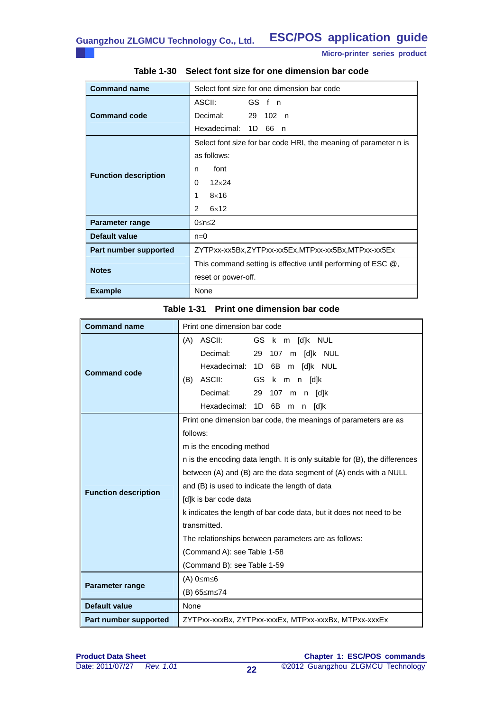| <b>Command name</b>         | Select font size for one dimension bar code                          |  |  |  |  |  |
|-----------------------------|----------------------------------------------------------------------|--|--|--|--|--|
|                             | ASCII:<br>GS f n                                                     |  |  |  |  |  |
| <b>Command code</b>         | Decimal:<br>29 102 n                                                 |  |  |  |  |  |
|                             | Hexadecimal: 1D<br>66 n                                              |  |  |  |  |  |
|                             | Select font size for bar code HRI, the meaning of parameter n is     |  |  |  |  |  |
| <b>Function description</b> | as follows:                                                          |  |  |  |  |  |
|                             | font<br>n                                                            |  |  |  |  |  |
|                             | $12\times 24$<br>0                                                   |  |  |  |  |  |
|                             | $8\times 16$<br>1                                                    |  |  |  |  |  |
|                             | $\mathcal{P}$<br>$6\times12$                                         |  |  |  |  |  |
| Parameter range             | $0 \le n \le 2$                                                      |  |  |  |  |  |
| <b>Default value</b>        | $n=0$                                                                |  |  |  |  |  |
| Part number supported       | ZYTPxx-xx5Bx,ZYTPxx-xx5Ex,MTPxx-xx5Bx,MTPxx-xx5Ex                    |  |  |  |  |  |
| <b>Notes</b>                | This command setting is effective until performing of ESC $\omega$ , |  |  |  |  |  |
|                             | reset or power-off.                                                  |  |  |  |  |  |
| <b>Example</b>              | None                                                                 |  |  |  |  |  |

# **Table 1-30 Select font size for one dimension bar code**

| <b>Command name</b>         | Print one dimension bar code                                                                                                                                                                                                                                                                                                                                                                                                                                                                                                                       |  |  |  |  |  |
|-----------------------------|----------------------------------------------------------------------------------------------------------------------------------------------------------------------------------------------------------------------------------------------------------------------------------------------------------------------------------------------------------------------------------------------------------------------------------------------------------------------------------------------------------------------------------------------------|--|--|--|--|--|
| <b>Command code</b>         | ASCII:<br>GS k m [d]k NUL<br>(A)<br>Decimal:<br>107<br>[d]k NUL<br>29<br>m<br>Hexadecimal:<br>1D<br>6B m [d]k NUL<br>ASCII:<br>GS k m n [d]k<br>(B)<br>Decimal:<br>29<br>107<br>n [d]k<br>m<br>Hexadecimal: 1D<br>6B<br>[d]k<br>m<br>n                                                                                                                                                                                                                                                                                                             |  |  |  |  |  |
| <b>Function description</b> | Print one dimension bar code, the meanings of parameters are as<br>follows:<br>m is the encoding method<br>n is the encoding data length. It is only suitable for (B), the differences<br>between (A) and (B) are the data segment of (A) ends with a NULL<br>and (B) is used to indicate the length of data<br>[d]k is bar code data<br>k indicates the length of bar code data, but it does not need to be<br>transmitted.<br>The relationships between parameters are as follows:<br>(Command A): see Table 1-58<br>(Command B): see Table 1-59 |  |  |  |  |  |
| <b>Parameter range</b>      | $(A)$ 0 $\leq m \leq 6$<br>(B) 65≤m≤74                                                                                                                                                                                                                                                                                                                                                                                                                                                                                                             |  |  |  |  |  |
| <b>Default value</b>        | None                                                                                                                                                                                                                                                                                                                                                                                                                                                                                                                                               |  |  |  |  |  |
| Part number supported       | ZYTPxx-xxxBx, ZYTPxx-xxxEx, MTPxx-xxxBx, MTPxx-xxxEx                                                                                                                                                                                                                                                                                                                                                                                                                                                                                               |  |  |  |  |  |

### **Table 1-31 Print one dimension bar code**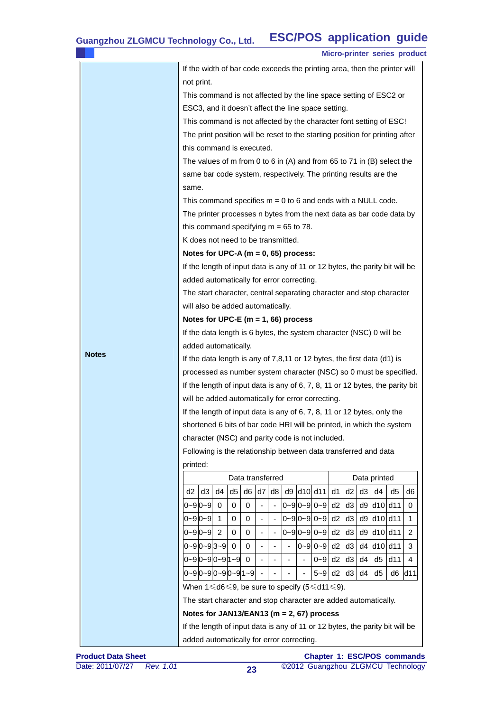|                                                                                                                                                                                                                                                                         |                                                                               |    |                  |                |    |                              |  |                       |    |                |    |              |     | Micro-printer series product |
|-------------------------------------------------------------------------------------------------------------------------------------------------------------------------------------------------------------------------------------------------------------------------|-------------------------------------------------------------------------------|----|------------------|----------------|----|------------------------------|--|-----------------------|----|----------------|----|--------------|-----|------------------------------|
|                                                                                                                                                                                                                                                                         | If the width of bar code exceeds the printing area, then the printer will     |    |                  |                |    |                              |  |                       |    |                |    |              |     |                              |
|                                                                                                                                                                                                                                                                         | not print.                                                                    |    |                  |                |    |                              |  |                       |    |                |    |              |     |                              |
|                                                                                                                                                                                                                                                                         | This command is not affected by the line space setting of ESC2 or             |    |                  |                |    |                              |  |                       |    |                |    |              |     |                              |
|                                                                                                                                                                                                                                                                         | ESC3, and it doesn't affect the line space setting.                           |    |                  |                |    |                              |  |                       |    |                |    |              |     |                              |
|                                                                                                                                                                                                                                                                         | This command is not affected by the character font setting of ESC!            |    |                  |                |    |                              |  |                       |    |                |    |              |     |                              |
|                                                                                                                                                                                                                                                                         | The print position will be reset to the starting position for printing after  |    |                  |                |    |                              |  |                       |    |                |    |              |     |                              |
| this command is executed.                                                                                                                                                                                                                                               |                                                                               |    |                  |                |    |                              |  |                       |    |                |    |              |     |                              |
|                                                                                                                                                                                                                                                                         | The values of m from 0 to 6 in (A) and from 65 to 71 in (B) select the        |    |                  |                |    |                              |  |                       |    |                |    |              |     |                              |
|                                                                                                                                                                                                                                                                         | same bar code system, respectively. The printing results are the              |    |                  |                |    |                              |  |                       |    |                |    |              |     |                              |
|                                                                                                                                                                                                                                                                         | same.                                                                         |    |                  |                |    |                              |  |                       |    |                |    |              |     |                              |
|                                                                                                                                                                                                                                                                         | This command specifies $m = 0$ to 6 and ends with a NULL code.                |    |                  |                |    |                              |  |                       |    |                |    |              |     |                              |
|                                                                                                                                                                                                                                                                         | The printer processes n bytes from the next data as bar code data by          |    |                  |                |    |                              |  |                       |    |                |    |              |     |                              |
|                                                                                                                                                                                                                                                                         | this command specifying $m = 65$ to 78.                                       |    |                  |                |    |                              |  |                       |    |                |    |              |     |                              |
|                                                                                                                                                                                                                                                                         | K does not need to be transmitted.                                            |    |                  |                |    |                              |  |                       |    |                |    |              |     |                              |
|                                                                                                                                                                                                                                                                         | Notes for UPC-A ( $m = 0$ , 65) process:                                      |    |                  |                |    |                              |  |                       |    |                |    |              |     |                              |
|                                                                                                                                                                                                                                                                         | If the length of input data is any of 11 or 12 bytes, the parity bit will be  |    |                  |                |    |                              |  |                       |    |                |    |              |     |                              |
|                                                                                                                                                                                                                                                                         | added automatically for error correcting.                                     |    |                  |                |    |                              |  |                       |    |                |    |              |     |                              |
|                                                                                                                                                                                                                                                                         | The start character, central separating character and stop character          |    |                  |                |    |                              |  |                       |    |                |    |              |     |                              |
|                                                                                                                                                                                                                                                                         | will also be added automatically.                                             |    |                  |                |    |                              |  |                       |    |                |    |              |     |                              |
|                                                                                                                                                                                                                                                                         | Notes for UPC-E ( $m = 1$ , 66) process                                       |    |                  |                |    |                              |  |                       |    |                |    |              |     |                              |
|                                                                                                                                                                                                                                                                         | If the data length is 6 bytes, the system character (NSC) 0 will be           |    |                  |                |    |                              |  |                       |    |                |    |              |     |                              |
| <b>Notes</b>                                                                                                                                                                                                                                                            | added automatically.                                                          |    |                  |                |    |                              |  |                       |    |                |    |              |     |                              |
|                                                                                                                                                                                                                                                                         | If the data length is any of 7,8,11 or 12 bytes, the first data (d1) is       |    |                  |                |    |                              |  |                       |    |                |    |              |     |                              |
|                                                                                                                                                                                                                                                                         | processed as number system character (NSC) so 0 must be specified.            |    |                  |                |    |                              |  |                       |    |                |    |              |     |                              |
|                                                                                                                                                                                                                                                                         | If the length of input data is any of 6, 7, 8, 11 or 12 bytes, the parity bit |    |                  |                |    |                              |  |                       |    |                |    |              |     |                              |
|                                                                                                                                                                                                                                                                         | will be added automatically for error correcting.                             |    |                  |                |    |                              |  |                       |    |                |    |              |     |                              |
| If the length of input data is any of 6, 7, 8, 11 or 12 bytes, only the<br>shortened 6 bits of bar code HRI will be printed, in which the system<br>character (NSC) and parity code is not included.<br>Following is the relationship between data transferred and data |                                                                               |    |                  |                |    |                              |  |                       |    |                |    |              |     |                              |
|                                                                                                                                                                                                                                                                         |                                                                               |    |                  |                |    |                              |  |                       |    |                |    |              |     |                              |
|                                                                                                                                                                                                                                                                         |                                                                               |    |                  |                |    |                              |  |                       |    |                |    |              |     |                              |
|                                                                                                                                                                                                                                                                         | printed:                                                                      |    |                  |                |    |                              |  |                       |    |                |    |              |     |                              |
|                                                                                                                                                                                                                                                                         |                                                                               |    | Data transferred |                |    |                              |  |                       |    |                |    | Data printed |     |                              |
|                                                                                                                                                                                                                                                                         | d2<br>d3<br>d4                                                                | d5 | d6               | d7             | d8 |                              |  | $d9$ d10 d11          | d1 | d <sub>2</sub> | d3 | d4           | d5  | d6                           |
|                                                                                                                                                                                                                                                                         | 0~90~9<br>0                                                                   | 0  | 0                | $\blacksquare$ |    |                              |  | $0 - 9$ 0 $-9$ 0 $-9$ | d2 | d3             | d9 | $d10$ d11    |     | 0                            |
|                                                                                                                                                                                                                                                                         | $0 - 9$ $0 - 9$<br>1                                                          | 0  | 0                |                |    |                              |  | $0 - 9$ 0 $-9$ 0 $-9$ | d2 | d3             | d9 | $d10$ d11    |     | 1                            |
|                                                                                                                                                                                                                                                                         | 0~90~9<br>$\overline{2}$                                                      | 0  | 0                |                |    |                              |  | $0 - 9$ 0 $-9$ 0 $-9$ | d2 | d <sub>3</sub> |    | $d9$ d10 d11 |     | 2                            |
|                                                                                                                                                                                                                                                                         | $0 - 9$ $0 - 9$ $3 - 9$                                                       | 0  | 0                |                | ٠  | $\qquad \qquad \blacksquare$ |  | $0 - 9$ $0 - 9$       | d2 | d3             | d4 | $d10$ d11    |     | 3                            |
|                                                                                                                                                                                                                                                                         | 0~90~90~91~9                                                                  |    | 0                |                |    |                              |  | 0~9                   | d2 | d3             | d4 | d5           | d11 | 4                            |
|                                                                                                                                                                                                                                                                         | $0 - 9$ $0 - 9$ $0 - 9$ $0 - 9$ $1 - 9$                                       |    |                  |                |    |                              |  | $5 - 9$               | d2 | d3             | d4 | d5           | d6  | d11                          |
|                                                                                                                                                                                                                                                                         | When $1 \le d6 \le 9$ , be sure to specify ( $5 \le d11 \le 9$ ).             |    |                  |                |    |                              |  |                       |    |                |    |              |     |                              |
|                                                                                                                                                                                                                                                                         |                                                                               |    |                  |                |    |                              |  |                       |    |                |    |              |     |                              |
| The start character and stop character are added automatically.<br>Notes for JAN13/EAN13 ( $m = 2$ , 67) process<br>If the length of input data is any of 11 or 12 bytes, the parity bit will be                                                                        |                                                                               |    |                  |                |    |                              |  |                       |    |                |    |              |     |                              |
|                                                                                                                                                                                                                                                                         |                                                                               |    |                  |                |    |                              |  |                       |    |                |    |              |     |                              |
|                                                                                                                                                                                                                                                                         |                                                                               |    |                  |                |    |                              |  |                       |    |                |    |              |     |                              |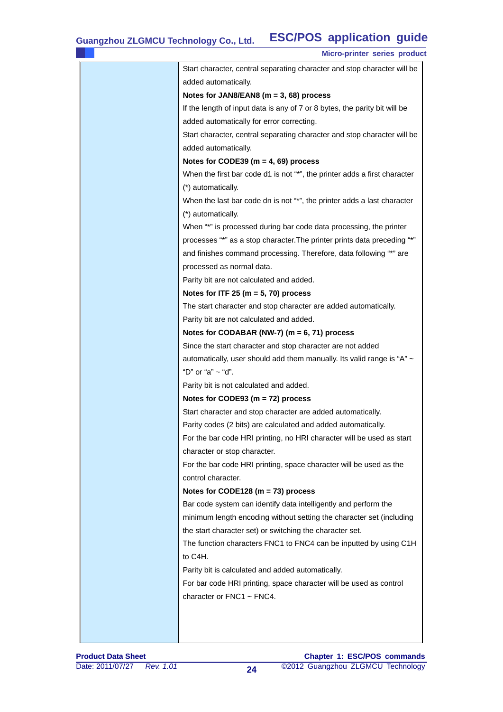| Micro-printer series product                                               |
|----------------------------------------------------------------------------|
| Start character, central separating character and stop character will be   |
| added automatically.                                                       |
| Notes for JAN8/EAN8 ( $m = 3$ , 68) process                                |
| If the length of input data is any of 7 or 8 bytes, the parity bit will be |
| added automatically for error correcting.                                  |
| Start character, central separating character and stop character will be   |
| added automatically.                                                       |
| Notes for CODE39 ( $m = 4$ , 69) process                                   |
| When the first bar code d1 is not "*", the printer adds a first character  |
| (*) automatically.                                                         |
| When the last bar code dn is not "*", the printer adds a last character    |
| (*) automatically.                                                         |
| When "*" is processed during bar code data processing, the printer         |
| processes "*" as a stop character. The printer prints data preceding "*"   |
| and finishes command processing. Therefore, data following "*" are         |
| processed as normal data.                                                  |
| Parity bit are not calculated and added.                                   |
| Notes for ITF 25 ( $m = 5$ , 70) process                                   |
| The start character and stop character are added automatically.            |
| Parity bit are not calculated and added.                                   |
| Notes for CODABAR (NW-7) ( $m = 6, 71$ ) process                           |
| Since the start character and stop character are not added                 |
| automatically, user should add them manually. Its valid range is "A" ~     |
| "D" or "a" ~ "d".                                                          |
| Parity bit is not calculated and added.                                    |
| Notes for CODE93 ( $m = 72$ ) process                                      |
| Start character and stop character are added automatically.                |
| Parity codes (2 bits) are calculated and added automatically.              |
| For the bar code HRI printing, no HRI character will be used as start      |
| character or stop character.                                               |
| For the bar code HRI printing, space character will be used as the         |
| control character.                                                         |
| Notes for CODE128 ( $m = 73$ ) process                                     |
| Bar code system can identify data intelligently and perform the            |
| minimum length encoding without setting the character set (including       |
| the start character set) or switching the character set.                   |
| The function characters FNC1 to FNC4 can be inputted by using C1H          |
| to C4H.                                                                    |
| Parity bit is calculated and added automatically.                          |
| For bar code HRI printing, space character will be used as control         |
| character or FNC1 ~ FNC4.                                                  |
|                                                                            |
|                                                                            |
|                                                                            |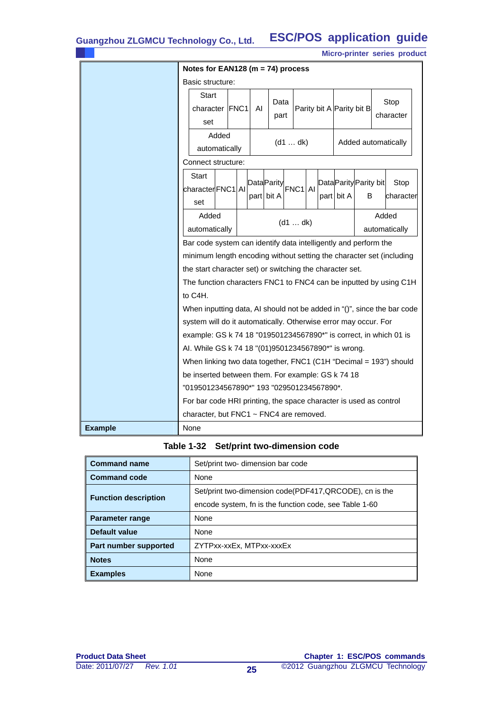|                |                                                                                                                                                         |          |                    |      |                     |  |  |                           |                        | Micro-printer series product |  |
|----------------|---------------------------------------------------------------------------------------------------------------------------------------------------------|----------|--------------------|------|---------------------|--|--|---------------------------|------------------------|------------------------------|--|
|                | Notes for EAN128 ( $m = 74$ ) process                                                                                                                   |          |                    |      |                     |  |  |                           |                        |                              |  |
|                | Basic structure:                                                                                                                                        |          |                    |      |                     |  |  |                           |                        |                              |  |
|                | <b>Start</b>                                                                                                                                            |          |                    |      |                     |  |  |                           |                        |                              |  |
|                | character FNC1                                                                                                                                          |          | AI                 | Data |                     |  |  | Parity bit A Parity bit B |                        | Stop                         |  |
|                | set                                                                                                                                                     |          |                    | part |                     |  |  |                           |                        | character                    |  |
|                | Added                                                                                                                                                   |          |                    |      |                     |  |  |                           |                        |                              |  |
|                | Added automatically<br>(d1  dk)<br>automatically                                                                                                        |          |                    |      |                     |  |  |                           |                        |                              |  |
|                | Connect structure:                                                                                                                                      |          |                    |      |                     |  |  |                           |                        |                              |  |
|                | Start                                                                                                                                                   |          | <b>Data</b> Parity |      |                     |  |  |                           | Data Parity Parity bit | Stop                         |  |
|                | characterFNC1AI                                                                                                                                         |          | part bit A         |      | FNC <sub>1</sub> AI |  |  | part bit A                | B                      | character                    |  |
|                | set                                                                                                                                                     |          |                    |      |                     |  |  |                           |                        |                              |  |
|                | Added                                                                                                                                                   |          |                    |      |                     |  |  |                           |                        | Added                        |  |
|                | automatically                                                                                                                                           | (d1  dk) |                    |      |                     |  |  |                           | automatically          |                              |  |
|                | Bar code system can identify data intelligently and perform the                                                                                         |          |                    |      |                     |  |  |                           |                        |                              |  |
|                | minimum length encoding without setting the character set (including                                                                                    |          |                    |      |                     |  |  |                           |                        |                              |  |
|                | the start character set) or switching the character set.                                                                                                |          |                    |      |                     |  |  |                           |                        |                              |  |
|                | The function characters FNC1 to FNC4 can be inputted by using C1H<br>to C4H.<br>When inputting data, AI should not be added in "()", since the bar code |          |                    |      |                     |  |  |                           |                        |                              |  |
|                |                                                                                                                                                         |          |                    |      |                     |  |  |                           |                        |                              |  |
|                |                                                                                                                                                         |          |                    |      |                     |  |  |                           |                        |                              |  |
|                | system will do it automatically. Otherwise error may occur. For                                                                                         |          |                    |      |                     |  |  |                           |                        |                              |  |
|                | example: GS k 74 18 "019501234567890*" is correct, in which 01 is                                                                                       |          |                    |      |                     |  |  |                           |                        |                              |  |
|                | Al. While GS k 74 18 "(01)9501234567890*" is wrong.                                                                                                     |          |                    |      |                     |  |  |                           |                        |                              |  |
|                | When linking two data together, FNC1 (C1H "Decimal = 193") should                                                                                       |          |                    |      |                     |  |  |                           |                        |                              |  |
|                | be inserted between them. For example: GS k 74 18                                                                                                       |          |                    |      |                     |  |  |                           |                        |                              |  |
|                | "019501234567890*" 193 "029501234567890*.                                                                                                               |          |                    |      |                     |  |  |                           |                        |                              |  |
|                | For bar code HRI printing, the space character is used as control                                                                                       |          |                    |      |                     |  |  |                           |                        |                              |  |
|                | character, but FNC1 $\sim$ FNC4 are removed.                                                                                                            |          |                    |      |                     |  |  |                           |                        |                              |  |
| <b>Example</b> | None                                                                                                                                                    |          |                    |      |                     |  |  |                           |                        |                              |  |

|  |  | Table 1-32 Set/print two-dimension code |
|--|--|-----------------------------------------|
|--|--|-----------------------------------------|

| <b>Command name</b>         | Set/print two-dimension bar code                        |
|-----------------------------|---------------------------------------------------------|
| <b>Command code</b>         | None                                                    |
|                             | Set/print two-dimension code(PDF417, QRCODE), cn is the |
| <b>Function description</b> | encode system, fn is the function code, see Table 1-60  |
| <b>Parameter range</b>      | None                                                    |
| Default value               | None                                                    |
| Part number supported       | ZYTPxx-xxEx, MTPxx-xxxEx                                |
| <b>Notes</b>                | None                                                    |
| <b>Examples</b>             | None                                                    |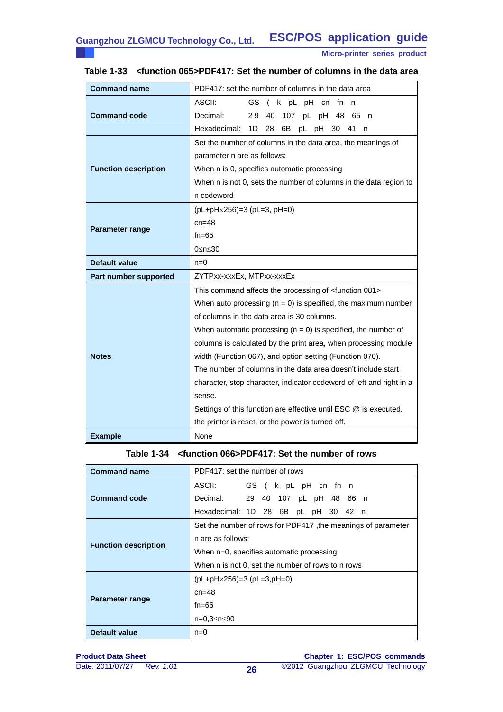| <b>Command name</b>         | PDF417: set the number of columns in the data area                   |  |  |  |  |  |  |
|-----------------------------|----------------------------------------------------------------------|--|--|--|--|--|--|
|                             | ASCII:<br>GS (<br>k pL pH cn fn n                                    |  |  |  |  |  |  |
| <b>Command code</b>         | Decimal:<br>29<br>40<br>107 pL pH 48 65 n                            |  |  |  |  |  |  |
|                             | Hexadecimal:<br>1D<br>28<br>6B pL pH 30 41 n                         |  |  |  |  |  |  |
|                             | Set the number of columns in the data area, the meanings of          |  |  |  |  |  |  |
|                             | parameter n are as follows:                                          |  |  |  |  |  |  |
| <b>Function description</b> | When n is 0, specifies automatic processing                          |  |  |  |  |  |  |
|                             | When n is not 0, sets the number of columns in the data region to    |  |  |  |  |  |  |
|                             | n codeword                                                           |  |  |  |  |  |  |
|                             | $(pL+pH\times256)=3$ (pL=3, pH=0)                                    |  |  |  |  |  |  |
|                             | $cn = 48$                                                            |  |  |  |  |  |  |
| <b>Parameter range</b>      | $fn=65$                                                              |  |  |  |  |  |  |
|                             | $0 \le n \le 30$                                                     |  |  |  |  |  |  |
| <b>Default value</b>        | $n=0$                                                                |  |  |  |  |  |  |
| Part number supported       | ZYTPxx-xxxEx, MTPxx-xxxEx                                            |  |  |  |  |  |  |
|                             | This command affects the processing of <function 081=""></function>  |  |  |  |  |  |  |
|                             | When auto processing $(n = 0)$ is specified, the maximum number      |  |  |  |  |  |  |
|                             | of columns in the data area is 30 columns.                           |  |  |  |  |  |  |
|                             | When automatic processing $(n = 0)$ is specified, the number of      |  |  |  |  |  |  |
|                             | columns is calculated by the print area, when processing module      |  |  |  |  |  |  |
| <b>Notes</b>                | width (Function 067), and option setting (Function 070).             |  |  |  |  |  |  |
|                             | The number of columns in the data area doesn't include start         |  |  |  |  |  |  |
|                             | character, stop character, indicator codeword of left and right in a |  |  |  |  |  |  |
|                             | sense.                                                               |  |  |  |  |  |  |
|                             | Settings of this function are effective until ESC @ is executed,     |  |  |  |  |  |  |
|                             | the printer is reset, or the power is turned off.                    |  |  |  |  |  |  |
| <b>Example</b>              | None                                                                 |  |  |  |  |  |  |

# **Table 1-33 <function 065>PDF417: Set the number of columns in the data area**

| Table 1-34 <function 066="">PDF417: Set the number of rows</function> |
|-----------------------------------------------------------------------|
|-----------------------------------------------------------------------|

| <b>Command name</b>         | PDF417: set the number of rows                                                                                                        |  |  |  |  |
|-----------------------------|---------------------------------------------------------------------------------------------------------------------------------------|--|--|--|--|
|                             | ASCII: The control of the control of the control of the control of the control of the control of the control o<br>GS (k pL pH cn fn n |  |  |  |  |
| <b>Command code</b>         | Decimal: 29 40 107 pL pH 48 66 n                                                                                                      |  |  |  |  |
|                             | Hexadecimal: 1D 28 6B pL pH 30 42 n                                                                                                   |  |  |  |  |
|                             | Set the number of rows for PDF417, the meanings of parameter                                                                          |  |  |  |  |
| <b>Function description</b> | n are as follows:                                                                                                                     |  |  |  |  |
|                             | When n=0, specifies automatic processing                                                                                              |  |  |  |  |
|                             | When n is not 0, set the number of rows to n rows                                                                                     |  |  |  |  |
|                             | $(pL+pH\times256)=3$ (pL=3,pH=0)                                                                                                      |  |  |  |  |
| Parameter range             | $cn = 48$                                                                                                                             |  |  |  |  |
|                             | $fn = 66$                                                                                                                             |  |  |  |  |
|                             | n=0,3≤n≤90                                                                                                                            |  |  |  |  |
| Default value               | $n=0$                                                                                                                                 |  |  |  |  |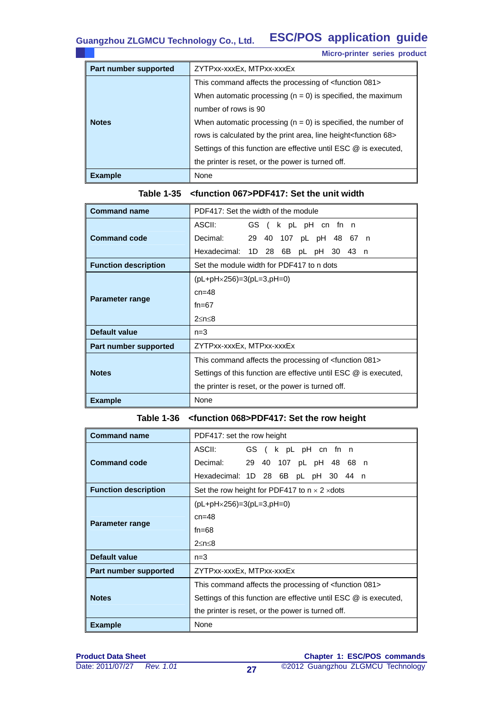| Part number supported | ZYTPxx-xxxEx, MTPxx-xxxEx                                           |
|-----------------------|---------------------------------------------------------------------|
|                       | This command affects the processing of <function 081=""></function> |
|                       | When automatic processing $(n = 0)$ is specified, the maximum       |
|                       | number of rows is 90                                                |
| <b>Notes</b>          | When automatic processing $(n = 0)$ is specified, the number of     |
|                       | rows is calculated by the print area, line height stunction 68>     |
|                       | Settings of this function are effective until ESC @ is executed,    |
|                       | the printer is reset, or the power is turned off.                   |
| <b>Example</b>        | None                                                                |

| <b>Command name</b>         | PDF417: Set the width of the module                                 |  |  |  |  |  |
|-----------------------------|---------------------------------------------------------------------|--|--|--|--|--|
|                             | ASCII:<br>GS (k pL pH cn fn n                                       |  |  |  |  |  |
| <b>Command code</b>         | Decimal:<br>29 40 107 pL pH 48 67 n                                 |  |  |  |  |  |
|                             | Hexadecimal: 1D 28 6B pL pH 30 43 n                                 |  |  |  |  |  |
| <b>Function description</b> | Set the module width for PDF417 to n dots                           |  |  |  |  |  |
|                             | $(pL+pH\times256)=3(pL=3,pH=0)$                                     |  |  |  |  |  |
| Parameter range             | $cn = 48$                                                           |  |  |  |  |  |
|                             | $fn=67$                                                             |  |  |  |  |  |
|                             | $2 \le n \le 8$                                                     |  |  |  |  |  |
| Default value               | $n=3$                                                               |  |  |  |  |  |
| Part number supported       | ZYTPxx-xxxEx, MTPxx-xxxEx                                           |  |  |  |  |  |
|                             | This command affects the processing of <function 081=""></function> |  |  |  |  |  |
| <b>Notes</b>                | Settings of this function are effective until ESC @ is executed,    |  |  |  |  |  |
|                             | the printer is reset, or the power is turned off.                   |  |  |  |  |  |
| <b>Example</b>              | None                                                                |  |  |  |  |  |

# **Table 1-35 <function 067>PDF417: Set the unit width**

# **Table 1-36 <function 068>PDF417: Set the row height**

| <b>Command name</b>         | PDF417: set the row height                                          |  |  |  |  |  |
|-----------------------------|---------------------------------------------------------------------|--|--|--|--|--|
|                             | ASCII:<br>GS (k pL pH cn fn n                                       |  |  |  |  |  |
| <b>Command code</b>         | Decimal:<br>29 40 107 pL pH 48 68 n                                 |  |  |  |  |  |
|                             | Hexadecimal: 1D 28 6B pL pH 30 44 n                                 |  |  |  |  |  |
| <b>Function description</b> | Set the row height for PDF417 to $n \times 2 \times$ dots           |  |  |  |  |  |
|                             | $(pL+pH\times256)=3(pL=3,pH=0)$                                     |  |  |  |  |  |
| Parameter range             | $cn=48$                                                             |  |  |  |  |  |
|                             | $fn = 68$                                                           |  |  |  |  |  |
|                             | $2 \le n \le 8$                                                     |  |  |  |  |  |
| Default value               | $n=3$                                                               |  |  |  |  |  |
| Part number supported       | ZYTPxx-xxxEx, MTPxx-xxxEx                                           |  |  |  |  |  |
|                             | This command affects the processing of <function 081=""></function> |  |  |  |  |  |
| <b>Notes</b>                | Settings of this function are effective until ESC @ is executed,    |  |  |  |  |  |
|                             | the printer is reset, or the power is turned off.                   |  |  |  |  |  |
| <b>Example</b>              | None                                                                |  |  |  |  |  |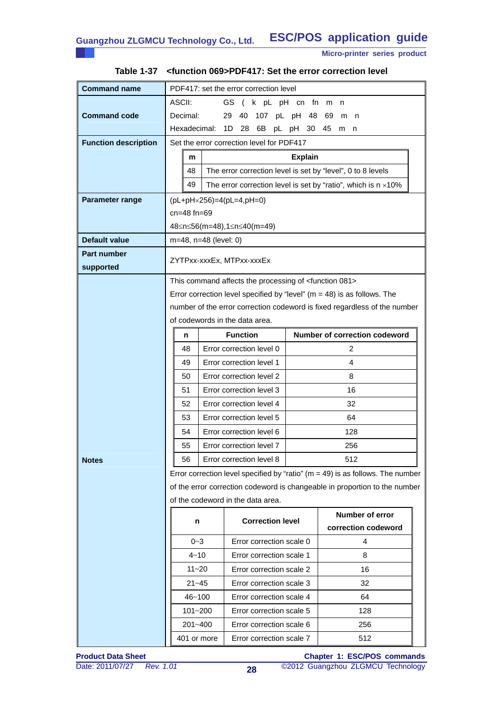| <b>Command name</b>         |                                                                                    |                                       |                                                   | PDF417: set the error correction level                              |                                                                        |                                                                             |  |
|-----------------------------|------------------------------------------------------------------------------------|---------------------------------------|---------------------------------------------------|---------------------------------------------------------------------|------------------------------------------------------------------------|-----------------------------------------------------------------------------|--|
|                             | ASCII:<br>GS (k pL pH cn fn m<br>n,                                                |                                       |                                                   |                                                                     |                                                                        |                                                                             |  |
| <b>Command code</b>         | Decimal:<br>29<br>40<br>107 pL pH 48 69<br>m<br>n                                  |                                       |                                                   |                                                                     |                                                                        |                                                                             |  |
|                             | Hexadecimal:<br>1D<br>28<br>6B<br>pL pH 30 45 m<br>n,                              |                                       |                                                   |                                                                     |                                                                        |                                                                             |  |
| <b>Function description</b> | Set the error correction level for PDF417                                          |                                       |                                                   |                                                                     |                                                                        |                                                                             |  |
|                             |                                                                                    | m                                     |                                                   |                                                                     | <b>Explain</b>                                                         |                                                                             |  |
|                             |                                                                                    | 48                                    |                                                   |                                                                     |                                                                        | The error correction level is set by "level", 0 to 8 levels                 |  |
|                             |                                                                                    | 49                                    |                                                   |                                                                     | The error correction level is set by "ratio", which is $n \times 10\%$ |                                                                             |  |
| Parameter range             |                                                                                    | $(pl+pH \times 256)=4(pl=4,pl=0)$     |                                                   |                                                                     |                                                                        |                                                                             |  |
|                             | $cn = 48$ fn=69                                                                    |                                       |                                                   |                                                                     |                                                                        |                                                                             |  |
|                             | 48≤n≤56(m=48),1≤n≤40(m=49)                                                         |                                       |                                                   |                                                                     |                                                                        |                                                                             |  |
| <b>Default value</b>        |                                                                                    |                                       | m=48, n=48 (level: 0)                             |                                                                     |                                                                        |                                                                             |  |
| <b>Part number</b>          |                                                                                    |                                       |                                                   | ZYTPxx-xxxEx, MTPxx-xxxEx                                           |                                                                        |                                                                             |  |
| supported                   |                                                                                    |                                       |                                                   |                                                                     |                                                                        |                                                                             |  |
|                             |                                                                                    |                                       |                                                   | This command affects the processing of <function 081=""></function> |                                                                        |                                                                             |  |
|                             |                                                                                    |                                       |                                                   |                                                                     |                                                                        | Error correction level specified by "level" ( $m = 48$ ) is as follows. The |  |
|                             | number of the error correction codeword is fixed regardless of the number          |                                       |                                                   |                                                                     |                                                                        |                                                                             |  |
|                             | of codewords in the data area.                                                     |                                       |                                                   |                                                                     |                                                                        |                                                                             |  |
|                             | <b>Function</b><br>Number of correction codeword<br>n                              |                                       |                                                   |                                                                     |                                                                        |                                                                             |  |
|                             | Error correction level 0<br>48<br>2                                                |                                       |                                                   |                                                                     |                                                                        |                                                                             |  |
|                             |                                                                                    | 49                                    |                                                   | Error correction level 1                                            |                                                                        | 4                                                                           |  |
|                             |                                                                                    | 50                                    |                                                   | Error correction level 2                                            |                                                                        | 8                                                                           |  |
|                             |                                                                                    | 51                                    |                                                   | Error correction level 3                                            |                                                                        | 16                                                                          |  |
|                             |                                                                                    | Error correction level 4<br>32<br>52  |                                                   |                                                                     |                                                                        |                                                                             |  |
|                             | Error correction level 5<br>53<br>64                                               |                                       |                                                   |                                                                     |                                                                        |                                                                             |  |
|                             | Error correction level 6<br>128<br>54                                              |                                       |                                                   |                                                                     |                                                                        |                                                                             |  |
|                             |                                                                                    | 55                                    |                                                   | Error correction level 7                                            | 256                                                                    |                                                                             |  |
| <b>Notes</b>                |                                                                                    | 56<br>Error correction level 8<br>512 |                                                   |                                                                     |                                                                        |                                                                             |  |
|                             | Error correction level specified by "ratio" ( $m = 49$ ) is as follows. The number |                                       |                                                   |                                                                     |                                                                        |                                                                             |  |
|                             | of the error correction codeword is changeable in proportion to the number         |                                       |                                                   |                                                                     |                                                                        |                                                                             |  |
|                             | of the codeword in the data area.                                                  |                                       |                                                   |                                                                     |                                                                        |                                                                             |  |
|                             | Number of error<br><b>Correction level</b><br>n<br>correction codeword             |                                       |                                                   |                                                                     |                                                                        |                                                                             |  |
|                             | Error correction scale 0                                                           |                                       |                                                   |                                                                     |                                                                        | 4                                                                           |  |
|                             |                                                                                    | $0 - 3$<br>Error correction scale 1   |                                                   |                                                                     |                                                                        | 8                                                                           |  |
|                             |                                                                                    |                                       | $4 - 10$<br>$11 - 20$<br>Error correction scale 2 |                                                                     |                                                                        | 16                                                                          |  |
|                             |                                                                                    | $21 - 45$                             |                                                   | Error correction scale 3                                            |                                                                        | 32                                                                          |  |
|                             |                                                                                    | 46~100                                |                                                   | Error correction scale 4                                            |                                                                        | 64                                                                          |  |
|                             |                                                                                    | 101~200                               |                                                   | Error correction scale 5                                            |                                                                        | 128                                                                         |  |
|                             |                                                                                    | 201~400                               |                                                   | Error correction scale 6                                            |                                                                        | 256                                                                         |  |
|                             |                                                                                    | 401 or more                           |                                                   | Error correction scale 7                                            |                                                                        | 512                                                                         |  |
|                             |                                                                                    |                                       |                                                   |                                                                     |                                                                        |                                                                             |  |

# **Table 1-37 <function 069>PDF417: Set the error correction level**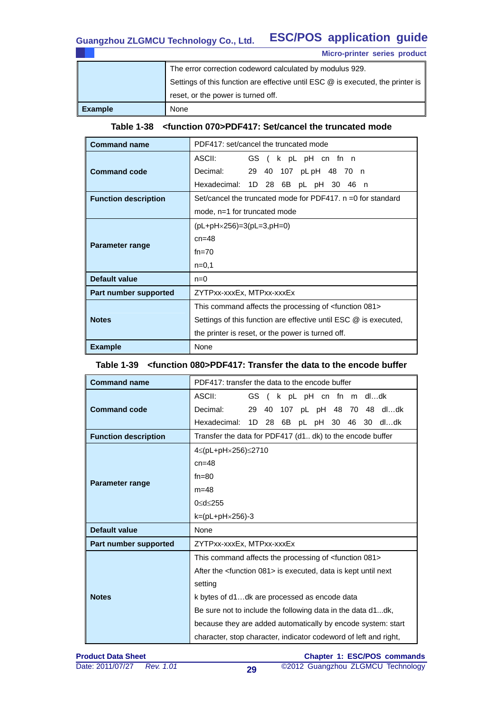#### **ESC/POS application guide Guangzhou ZLGMCU Technology Co., Ltd.**

|                | <b>Micro-printer series product</b>                                             |
|----------------|---------------------------------------------------------------------------------|
|                | The error correction codeword calculated by modulus 929.                        |
|                | Settings of this function are effective until ESC @ is executed, the printer is |
|                | reset, or the power is turned off.                                              |
| <b>Example</b> | None                                                                            |

## **Table 1-38 <function 070>PDF417: Set/cancel the truncated mode**

| <b>Command name</b>         | PDF417: set/cancel the truncated mode                               |  |  |  |  |  |
|-----------------------------|---------------------------------------------------------------------|--|--|--|--|--|
|                             | ASCII:<br>GS (k pL pH cn fn n                                       |  |  |  |  |  |
| <b>Command code</b>         | Decimal:<br>29 40 107 pLpH 48 70 n                                  |  |  |  |  |  |
|                             | Hexadecimal: 1D 28 6B pL pH 30 46 n                                 |  |  |  |  |  |
| <b>Function description</b> | Set/cancel the truncated mode for PDF417, $n = 0$ for standard      |  |  |  |  |  |
|                             | mode, n=1 for truncated mode                                        |  |  |  |  |  |
|                             | $(pL+pH\times256)=3(pL=3,pH=0)$                                     |  |  |  |  |  |
| <b>Parameter range</b>      | $cn=48$                                                             |  |  |  |  |  |
|                             | $fn=70$                                                             |  |  |  |  |  |
|                             | $n=0,1$                                                             |  |  |  |  |  |
| Default value               | $n=0$                                                               |  |  |  |  |  |
| Part number supported       | ZYTPxx-xxxEx, MTPxx-xxxEx                                           |  |  |  |  |  |
|                             | This command affects the processing of <function 081=""></function> |  |  |  |  |  |
| <b>Notes</b>                | Settings of this function are effective until ESC @ is executed,    |  |  |  |  |  |
|                             | the printer is reset, or the power is turned off.                   |  |  |  |  |  |
| <b>Example</b>              | None                                                                |  |  |  |  |  |

## **Table 1-39 <function 080>PDF417: Transfer the data to the encode buffer**

| <b>Command name</b>         | PDF417: transfer the data to the encode buffer                              |  |  |  |  |  |  |
|-----------------------------|-----------------------------------------------------------------------------|--|--|--|--|--|--|
|                             | ASCII:<br>GS (k pL pH cn fn m dldk                                          |  |  |  |  |  |  |
| <b>Command code</b>         | Decimal:<br>29<br>40<br>107 pL pH 48 70 48 dldk                             |  |  |  |  |  |  |
|                             | Hexadecimal:<br>28 6B pL pH<br>1D<br>30 46 30 dldk                          |  |  |  |  |  |  |
| <b>Function description</b> | Transfer the data for PDF417 (d1 dk) to the encode buffer                   |  |  |  |  |  |  |
|                             | 4≤(pL+pH×256)≤2710                                                          |  |  |  |  |  |  |
|                             | $cn = 48$                                                                   |  |  |  |  |  |  |
|                             | $fn = 80$                                                                   |  |  |  |  |  |  |
| Parameter range             | $m = 48$                                                                    |  |  |  |  |  |  |
|                             | 0≤d≤255                                                                     |  |  |  |  |  |  |
|                             | $k=(pL+pH\times256)-3$                                                      |  |  |  |  |  |  |
| Default value               | <b>None</b>                                                                 |  |  |  |  |  |  |
| Part number supported       | ZYTPxx-xxxEx, MTPxx-xxxEx                                                   |  |  |  |  |  |  |
|                             | This command affects the processing of <function 081=""></function>         |  |  |  |  |  |  |
|                             | After the <function 081=""> is executed, data is kept until next</function> |  |  |  |  |  |  |
|                             | setting                                                                     |  |  |  |  |  |  |
| <b>Notes</b>                | k bytes of d1dk are processed as encode data                                |  |  |  |  |  |  |
|                             | Be sure not to include the following data in the data d1dk,                 |  |  |  |  |  |  |
|                             | because they are added automatically by encode system: start                |  |  |  |  |  |  |
|                             | character, stop character, indicator codeword of left and right,            |  |  |  |  |  |  |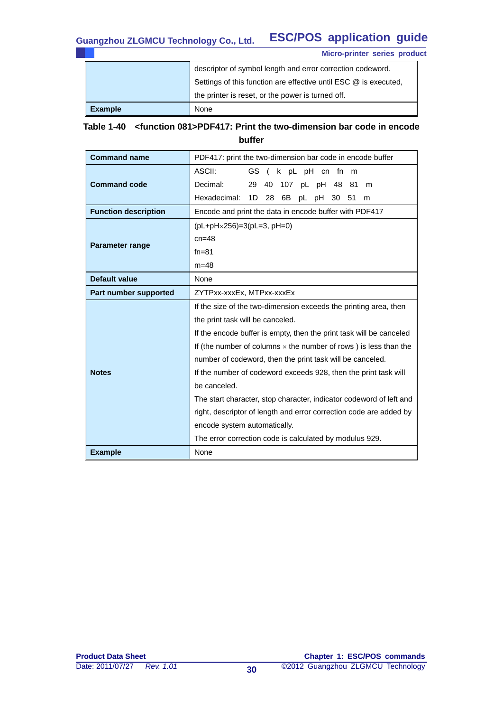#### **ESC/POS application guide Guangzhou ZLGMCU Technology Co., Ltd.**

**Micro-printer series product**

|                        | descriptor of symbol length and error correction codeword.       |
|------------------------|------------------------------------------------------------------|
|                        | Settings of this function are effective until ESC @ is executed, |
|                        | the printer is reset, or the power is turned off.                |
| $\blacksquare$ Example | <b>None</b>                                                      |

# **Table 1-40 <function 081>PDF417: Print the two-dimension bar code in encode buffer**

| <b>Command name</b>         | PDF417: print the two-dimension bar code in encode buffer               |  |  |  |  |  |  |
|-----------------------------|-------------------------------------------------------------------------|--|--|--|--|--|--|
|                             | ASCII:<br>GS (k pL pH cn fn m                                           |  |  |  |  |  |  |
| <b>Command code</b>         | Decimal:<br>29<br>107 pL pH 48<br>40<br>- 81<br>m                       |  |  |  |  |  |  |
|                             | Hexadecimal:<br>1D<br>28<br>6B<br>pL pH<br>30<br>51<br>m                |  |  |  |  |  |  |
| <b>Function description</b> | Encode and print the data in encode buffer with PDF417                  |  |  |  |  |  |  |
|                             | (pL+pH×256)=3(pL=3, pH=0)                                               |  |  |  |  |  |  |
|                             | $cn = 48$                                                               |  |  |  |  |  |  |
| Parameter range             | $fn = 81$                                                               |  |  |  |  |  |  |
|                             | $m = 48$                                                                |  |  |  |  |  |  |
| <b>Default value</b>        | None                                                                    |  |  |  |  |  |  |
| Part number supported       | ZYTPxx-xxxEx, MTPxx-xxxEx                                               |  |  |  |  |  |  |
|                             | If the size of the two-dimension exceeds the printing area, then        |  |  |  |  |  |  |
|                             | the print task will be canceled.                                        |  |  |  |  |  |  |
|                             | If the encode buffer is empty, then the print task will be canceled     |  |  |  |  |  |  |
|                             | If (the number of columns $\times$ the number of rows) is less than the |  |  |  |  |  |  |
|                             | number of codeword, then the print task will be canceled.               |  |  |  |  |  |  |
| <b>Notes</b>                | If the number of codeword exceeds 928, then the print task will         |  |  |  |  |  |  |
|                             | be canceled.                                                            |  |  |  |  |  |  |
|                             | The start character, stop character, indicator codeword of left and     |  |  |  |  |  |  |
|                             | right, descriptor of length and error correction code are added by      |  |  |  |  |  |  |
|                             | encode system automatically.                                            |  |  |  |  |  |  |
|                             | The error correction code is calculated by modulus 929.                 |  |  |  |  |  |  |
| <b>Example</b>              | None                                                                    |  |  |  |  |  |  |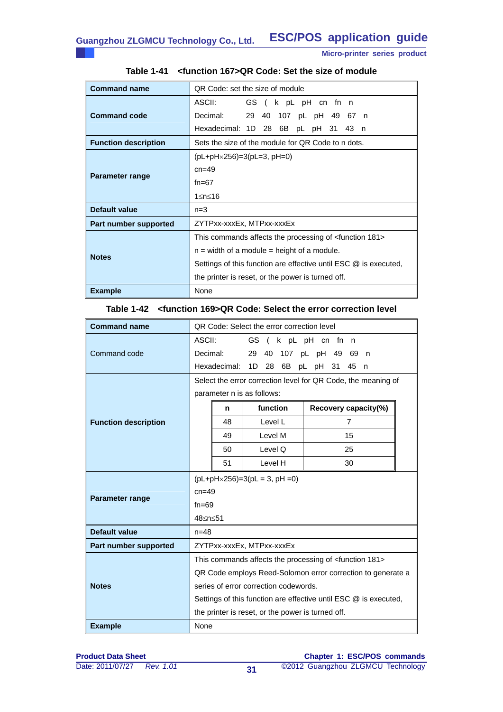| <b>Command name</b>         | QR Code: set the size of module                                      |  |  |  |  |  |
|-----------------------------|----------------------------------------------------------------------|--|--|--|--|--|
|                             | ASCII:<br>GS (k pL pH cn fn n                                        |  |  |  |  |  |
| <b>Command code</b>         | Decimal:<br>29 40 107 pL pH 49 67 n                                  |  |  |  |  |  |
|                             | Hexadecimal: 1D 28 6B pL pH 31 43 n                                  |  |  |  |  |  |
| <b>Function description</b> | Sets the size of the module for QR Code to n dots.                   |  |  |  |  |  |
|                             | $(pL+pH\times256)=3(pL=3, pH=0)$                                     |  |  |  |  |  |
| Parameter range             | $cn = 49$                                                            |  |  |  |  |  |
|                             | $fn=67$                                                              |  |  |  |  |  |
|                             | 1 < n < 16                                                           |  |  |  |  |  |
| Default value               | $n=3$                                                                |  |  |  |  |  |
| Part number supported       | ZYTPxx-xxxEx, MTPxx-xxxEx                                            |  |  |  |  |  |
|                             | This commands affects the processing of <function 181=""></function> |  |  |  |  |  |
| <b>Notes</b>                | $n =$ width of a module = height of a module.                        |  |  |  |  |  |
|                             | Settings of this function are effective until ESC @ is executed,     |  |  |  |  |  |
|                             | the printer is reset, or the power is turned off.                    |  |  |  |  |  |
| <b>Example</b>              | None                                                                 |  |  |  |  |  |

# **Table 1-41 <function 167>QR Code: Set the size of module**

## **Table 1-42 <function 169>QR Code: Select the error correction level**

| <b>Command name</b>         |                                                                                                                       | QR Code: Select the error correction level |                                       |                                                                      |  |  |
|-----------------------------|-----------------------------------------------------------------------------------------------------------------------|--------------------------------------------|---------------------------------------|----------------------------------------------------------------------|--|--|
|                             | ASCII:<br>GS (k pL pH cn fn n                                                                                         |                                            |                                       |                                                                      |  |  |
| Command code                | Decimal:                                                                                                              |                                            | 29<br>40                              | 107 pL pH 49<br>69 n                                                 |  |  |
|                             |                                                                                                                       | Hexadecimal:                               | 1D                                    | 28 6B pL pH 31<br>45 n                                               |  |  |
|                             | Select the error correction level for QR Code, the meaning of                                                         |                                            |                                       |                                                                      |  |  |
|                             | parameter n is as follows:                                                                                            |                                            |                                       |                                                                      |  |  |
|                             | function<br>Recovery capacity(%)<br>n                                                                                 |                                            |                                       |                                                                      |  |  |
| <b>Function description</b> |                                                                                                                       | 48                                         | Level L                               | $\overline{7}$                                                       |  |  |
|                             |                                                                                                                       | 49                                         | Level M                               | 15                                                                   |  |  |
|                             |                                                                                                                       | 50                                         | Level Q                               | 25                                                                   |  |  |
|                             |                                                                                                                       | 51                                         | Level H                               | 30                                                                   |  |  |
|                             | $(pl+pH \times 256)=3(pl=3, pH=0)$                                                                                    |                                            |                                       |                                                                      |  |  |
|                             | $cn = 49$                                                                                                             |                                            |                                       |                                                                      |  |  |
| <b>Parameter range</b>      | $fn = 69$                                                                                                             |                                            |                                       |                                                                      |  |  |
|                             | 48 <n<51< td=""></n<51<>                                                                                              |                                            |                                       |                                                                      |  |  |
| <b>Default value</b>        | $n = 48$                                                                                                              |                                            |                                       |                                                                      |  |  |
| Part number supported       | ZYTPxx-xxxEx, MTPxx-xxxEx                                                                                             |                                            |                                       |                                                                      |  |  |
|                             |                                                                                                                       |                                            |                                       | This commands affects the processing of <function 181=""></function> |  |  |
|                             |                                                                                                                       |                                            |                                       | QR Code employs Reed-Solomon error correction to generate a          |  |  |
| <b>Notes</b>                |                                                                                                                       |                                            | series of error correction codewords. |                                                                      |  |  |
|                             | Settings of this function are effective until ESC @ is executed,<br>the printer is reset, or the power is turned off. |                                            |                                       |                                                                      |  |  |
|                             |                                                                                                                       |                                            |                                       |                                                                      |  |  |
| <b>Example</b>              | None                                                                                                                  |                                            |                                       |                                                                      |  |  |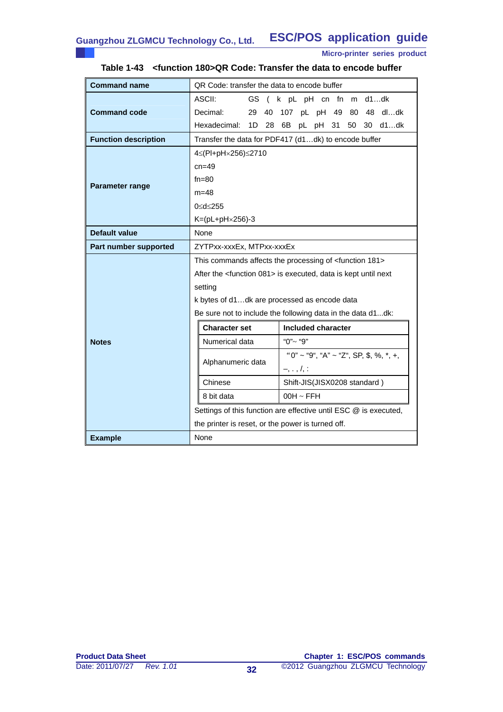| <b>Command name</b>         | QR Code: transfer the data to encode buffer                                 |                                                             |  |  |  |  |
|-----------------------------|-----------------------------------------------------------------------------|-------------------------------------------------------------|--|--|--|--|
|                             | ASCII:<br>GS                                                                | (k pL pH cn fn m d1dk                                       |  |  |  |  |
| <b>Command code</b>         | Decimal:<br>29<br>40                                                        | 107 pL pH 49<br>80 48 dldk                                  |  |  |  |  |
|                             | Hexadecimal:<br>28<br>1D                                                    | 50 30 d1dk<br>6B<br>pL pH 31                                |  |  |  |  |
| <b>Function description</b> | Transfer the data for PDF417 (d1dk) to encode buffer                        |                                                             |  |  |  |  |
|                             | 4≤(Pl+pH×256)≤2710                                                          |                                                             |  |  |  |  |
|                             | $cn=49$                                                                     |                                                             |  |  |  |  |
|                             | $fn = 80$<br>$m = 48$                                                       |                                                             |  |  |  |  |
| Parameter range             |                                                                             |                                                             |  |  |  |  |
|                             | 0≤d≤255                                                                     |                                                             |  |  |  |  |
|                             | $K=(pL+pH\times256)-3$                                                      |                                                             |  |  |  |  |
| <b>Default value</b>        | None                                                                        |                                                             |  |  |  |  |
| Part number supported       | ZYTPxx-xxxEx, MTPxx-xxxEx                                                   |                                                             |  |  |  |  |
|                             | This commands affects the processing of <function 181=""></function>        |                                                             |  |  |  |  |
|                             | After the <function 081=""> is executed, data is kept until next</function> |                                                             |  |  |  |  |
|                             | setting                                                                     |                                                             |  |  |  |  |
|                             | k bytes of d1dk are processed as encode data                                |                                                             |  |  |  |  |
|                             |                                                                             | Be sure not to include the following data in the data d1dk: |  |  |  |  |
|                             | <b>Character set</b>                                                        | <b>Included character</b>                                   |  |  |  |  |
| <b>Notes</b>                | Numerical data                                                              | "0"~ "9"                                                    |  |  |  |  |
|                             |                                                                             | "0" ~ "9", "A" ~ "Z", SP, \$, %, *, +,                      |  |  |  |  |
|                             | Alphanumeric data                                                           | $-,\ldots, \frac{1}{2}$ .                                   |  |  |  |  |
|                             | Chinese                                                                     | Shift-JIS(JISX0208 standard)                                |  |  |  |  |
|                             | 8 bit data                                                                  | $00H \sim FFH$                                              |  |  |  |  |
|                             | Settings of this function are effective until ESC @ is executed,            |                                                             |  |  |  |  |
|                             | the printer is reset, or the power is turned off.                           |                                                             |  |  |  |  |
|                             | None                                                                        |                                                             |  |  |  |  |

# **Table 1-43 <function 180>QR Code: Transfer the data to encode buffer**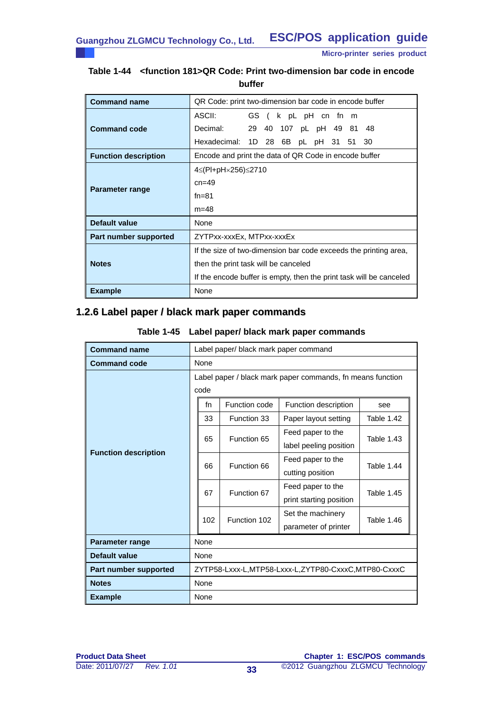# **Table 1-44 <function 181>QR Code: Print two-dimension bar code in encode buffer**

| <b>Command name</b>         | QR Code: print two-dimension bar code in encode buffer              |  |  |  |  |  |
|-----------------------------|---------------------------------------------------------------------|--|--|--|--|--|
|                             | ASCII:<br>GS (k pL pH cn fn m                                       |  |  |  |  |  |
| <b>Command code</b>         | Decimal:<br>29 40 107 pL pH 49 81 48                                |  |  |  |  |  |
|                             | Hexadecimal: 1D 28 6B pL pH 31 51 30                                |  |  |  |  |  |
| <b>Function description</b> | Encode and print the data of QR Code in encode buffer               |  |  |  |  |  |
|                             | 4≤(PI+pH×256)≤2710                                                  |  |  |  |  |  |
| Parameter range             | $cn = 49$                                                           |  |  |  |  |  |
|                             | $fn = 81$                                                           |  |  |  |  |  |
|                             | $m = 48$                                                            |  |  |  |  |  |
| Default value               | None                                                                |  |  |  |  |  |
| Part number supported       | ZYTPxx-xxxEx, MTPxx-xxxEx                                           |  |  |  |  |  |
|                             | If the size of two-dimension bar code exceeds the printing area,    |  |  |  |  |  |
| <b>Notes</b>                | then the print task will be canceled                                |  |  |  |  |  |
|                             | If the encode buffer is empty, then the print task will be canceled |  |  |  |  |  |
| <b>Example</b>              | None                                                                |  |  |  |  |  |

# **1.2.6 Label paper / black mark paper commands**

| Table 1-45 Label paper/ black mark paper commands |  |  |  |  |  |
|---------------------------------------------------|--|--|--|--|--|
|---------------------------------------------------|--|--|--|--|--|

| <b>Command name</b>         | Label paper/ black mark paper command                              |     |               |                                              |                   |
|-----------------------------|--------------------------------------------------------------------|-----|---------------|----------------------------------------------|-------------------|
| <b>Command code</b>         | None                                                               |     |               |                                              |                   |
|                             | Label paper / black mark paper commands, fn means function<br>code |     |               |                                              |                   |
|                             |                                                                    | fn  | Function code | Function description                         | see               |
|                             |                                                                    | 33  | Function 33   | Paper layout setting                         | Table 1.42        |
| <b>Function description</b> |                                                                    | 65  | Function 65   | Feed paper to the<br>label peeling position  | <b>Table 1.43</b> |
|                             |                                                                    | 66  | Function 66   | Feed paper to the<br>cutting position        | Table 1.44        |
|                             |                                                                    | 67  | Function 67   | Feed paper to the<br>print starting position | <b>Table 1.45</b> |
|                             |                                                                    | 102 | Function 102  | Set the machinery<br>parameter of printer    | Table 1.46        |
| <b>Parameter range</b>      | None                                                               |     |               |                                              |                   |
| Default value               | None                                                               |     |               |                                              |                   |
| Part number supported       | ZYTP58-Lxxx-L,MTP58-Lxxx-L,ZYTP80-CxxxC,MTP80-CxxxC                |     |               |                                              |                   |
| <b>Notes</b>                | None                                                               |     |               |                                              |                   |
| <b>Example</b>              | None                                                               |     |               |                                              |                   |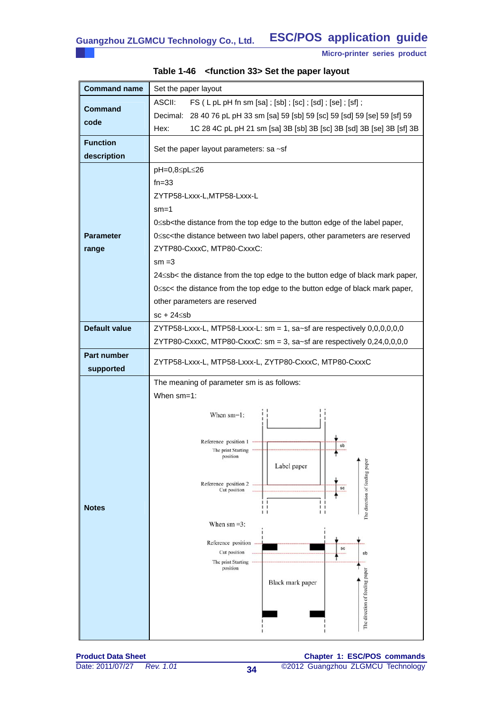| <b>Command name</b>            | Set the paper layout                                                                                                   |
|--------------------------------|------------------------------------------------------------------------------------------------------------------------|
| <b>Command</b>                 | ASCII:<br>$FS(LplpHfnsm[sa];[sb];[sc];[sd];[se];[sf];$                                                                 |
| code                           | Decimal: 28 40 76 pL pH 33 sm [sa] 59 [sb] 59 [sc] 59 [sd] 59 [se] 59 [sf] 59                                          |
|                                | Hex:<br>1C 28 4C pL pH 21 sm [sa] 3B [sb] 3B [sc] 3B [sd] 3B [se] 3B [sf] 3B                                           |
| <b>Function</b><br>description | Set the paper layout parameters: sa ~sf                                                                                |
|                                | pH=0,8≤pL≤26                                                                                                           |
|                                | $fn = 33$                                                                                                              |
|                                | ZYTP58-Lxxx-L,MTP58-Lxxx-L                                                                                             |
|                                | $sm=1$                                                                                                                 |
|                                | 0≤sb <the button="" distance="" edge="" from="" label="" of="" paper,<="" th="" the="" to="" top=""></the>             |
| <b>Parameter</b>               | O <sc<the are="" between="" distance="" label="" other="" papers,="" parameters="" reserved<="" th="" two=""></sc<the> |
| range                          | ZYTP80-CxxxC, MTP80-CxxxC:                                                                                             |
|                                | $sm = 3$<br>24≤sb< the distance from the top edge to the button edge of black mark paper,                              |
|                                | 0≤sc< the distance from the top edge to the button edge of black mark paper,                                           |
|                                | other parameters are reserved                                                                                          |
|                                | $sc + 24 \leq sb$                                                                                                      |
| <b>Default value</b>           | ZYTP58-Lxxx-L, MTP58-Lxxx-L: $sm = 1$ , sa~sf are respectively 0,0,0,0,0,0                                             |
|                                | ZYTP80-CxxxC, MTP80-CxxxC: $sm = 3$ , sa~sf are respectively 0,24,0,0,0,0                                              |
| Part number<br>supported       | ZYTP58-Lxxx-L, MTP58-Lxxx-L, ZYTP80-CxxxC, MTP80-CxxxC                                                                 |
|                                | The meaning of parameter sm is as follows:                                                                             |
|                                | When sm=1:                                                                                                             |
|                                | When sm=1:                                                                                                             |
|                                |                                                                                                                        |
|                                | Reference position 1                                                                                                   |
|                                | sb<br>The print Starting -<br>position                                                                                 |
|                                | Label paper                                                                                                            |
|                                | The direction of feeding paper<br>Reference position 2                                                                 |
|                                | <b>SC</b><br>Cut position                                                                                              |
| <b>Notes</b>                   | $\mathbf{1}$<br>1<br>11<br>ı<br>11<br>1 <sub>1</sub>                                                                   |
|                                | When $\text{sm} = 3$ :                                                                                                 |
|                                | Reference position                                                                                                     |
|                                | SC<br>Cut position<br>sb                                                                                               |
|                                | The print Starting<br>position                                                                                         |
|                                | Black mark paper                                                                                                       |
|                                |                                                                                                                        |
|                                |                                                                                                                        |
|                                | The direction of feeding paper                                                                                         |
|                                |                                                                                                                        |

# **Table 1-46 <function 33> Set the paper layout**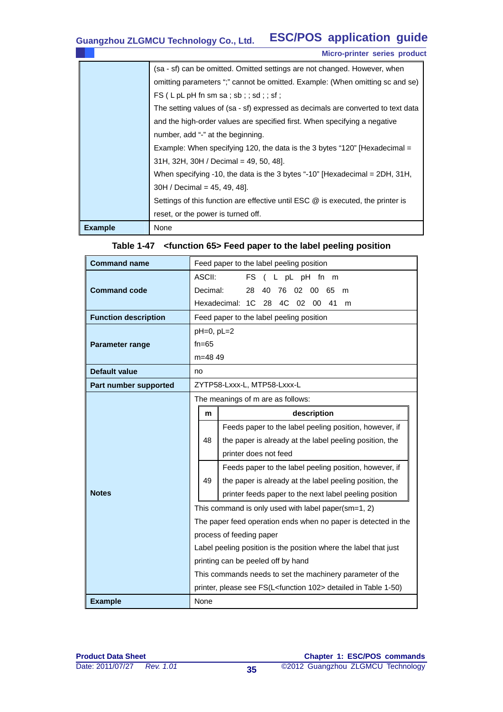**ESC/POS application guide Guangzhou ZLGMCU Technology Co., Ltd.**

|                | <b>Micro-printer series product</b>                                                    |
|----------------|----------------------------------------------------------------------------------------|
|                | (sa - sf) can be omitted. Omitted settings are not changed. However, when              |
|                | omitting parameters ";" cannot be omitted. Example: (When omitting sc and se)          |
|                | FS(LpLpHfnsmsa; sb; ; sd; ; sf;                                                        |
|                | The setting values of (sa - sf) expressed as decimals are converted to text data       |
|                | and the high-order values are specified first. When specifying a negative              |
|                | number, add "-" at the beginning.                                                      |
|                | Example: When specifying 120, the data is the 3 bytes "120" [Hexadecimal $=$           |
|                | $31H$ , $32H$ , $30H /$ Decimal = 49, 50, 48].                                         |
|                | When specifying -10, the data is the 3 bytes "-10" [Hexadecimal = $2DH$ , 31H,         |
|                | $30H /$ Decimal = 45, 49, 48].                                                         |
|                | Settings of this function are effective until ESC $\omega$ is executed, the printer is |
|                | reset, or the power is turned off.                                                     |
| <b>Example</b> | None                                                                                   |

| <b>Command name</b>         | Feed paper to the label peeling position                                                                                                                                                                    |  |  |  |
|-----------------------------|-------------------------------------------------------------------------------------------------------------------------------------------------------------------------------------------------------------|--|--|--|
|                             | ASCII:<br>FS.<br>L pL pH fn m                                                                                                                                                                               |  |  |  |
| <b>Command code</b>         | Decimal:<br>28<br>40<br>76<br>02<br>00<br>65<br>m                                                                                                                                                           |  |  |  |
|                             | Hexadecimal:<br>1 <sup>C</sup><br>28<br>4C<br>02<br>00<br>41<br>m                                                                                                                                           |  |  |  |
| <b>Function description</b> | Feed paper to the label peeling position                                                                                                                                                                    |  |  |  |
|                             | $pH=0$ , $pL=2$                                                                                                                                                                                             |  |  |  |
| Parameter range             | $fn=65$                                                                                                                                                                                                     |  |  |  |
|                             | $m=4849$                                                                                                                                                                                                    |  |  |  |
| <b>Default value</b>        | no                                                                                                                                                                                                          |  |  |  |
| Part number supported       | ZYTP58-Lxxx-L, MTP58-Lxxx-L                                                                                                                                                                                 |  |  |  |
|                             | The meanings of m are as follows:                                                                                                                                                                           |  |  |  |
|                             | description<br>m                                                                                                                                                                                            |  |  |  |
|                             | Feeds paper to the label peeling position, however, if                                                                                                                                                      |  |  |  |
|                             | 48<br>the paper is already at the label peeling position, the                                                                                                                                               |  |  |  |
|                             | printer does not feed                                                                                                                                                                                       |  |  |  |
|                             | Feeds paper to the label peeling position, however, if                                                                                                                                                      |  |  |  |
|                             | 49<br>the paper is already at the label peeling position, the                                                                                                                                               |  |  |  |
| <b>Notes</b>                | printer feeds paper to the next label peeling position<br>This command is only used with label paper(sm=1, 2)<br>The paper feed operation ends when no paper is detected in the<br>process of feeding paper |  |  |  |
|                             |                                                                                                                                                                                                             |  |  |  |
|                             |                                                                                                                                                                                                             |  |  |  |
|                             |                                                                                                                                                                                                             |  |  |  |
|                             | Label peeling position is the position where the label that just                                                                                                                                            |  |  |  |
|                             | printing can be peeled off by hand                                                                                                                                                                          |  |  |  |
|                             | This commands needs to set the machinery parameter of the                                                                                                                                                   |  |  |  |
|                             | printer, please see FS(L <function 102=""> detailed in Table 1-50)</function>                                                                                                                               |  |  |  |
| <b>Example</b>              | None                                                                                                                                                                                                        |  |  |  |

**Table 1-47 <function 65> Feed paper to the label peeling position**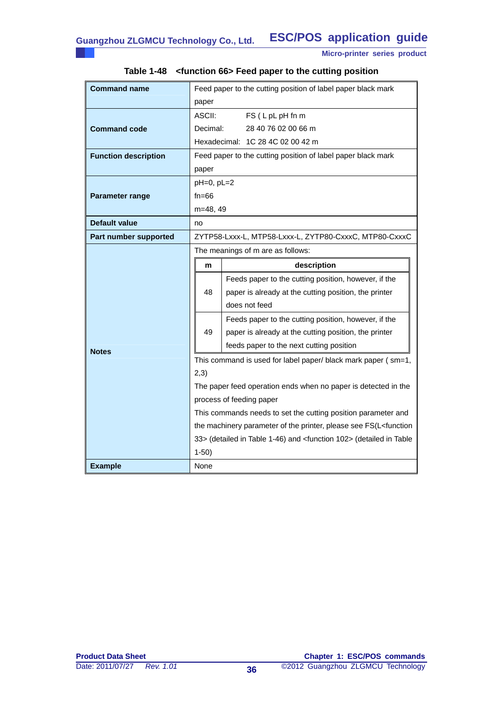| Micro-printer series product |  |  |
|------------------------------|--|--|
|------------------------------|--|--|

| <b>Command name</b>         | Feed paper to the cutting position of label paper black mark                          |                                                              |  |  |
|-----------------------------|---------------------------------------------------------------------------------------|--------------------------------------------------------------|--|--|
|                             | paper                                                                                 |                                                              |  |  |
|                             | ASCII:<br>FS (LpL pH fn m                                                             |                                                              |  |  |
| <b>Command code</b>         | Decimal:<br>28 40 76 02 00 66 m                                                       |                                                              |  |  |
|                             | Hexadecimal: 1C 28 4C 02 00 42 m                                                      |                                                              |  |  |
| <b>Function description</b> |                                                                                       | Feed paper to the cutting position of label paper black mark |  |  |
|                             | paper                                                                                 |                                                              |  |  |
|                             | $pH=0$ , $pL=2$                                                                       |                                                              |  |  |
| Parameter range             | $fn = 66$                                                                             |                                                              |  |  |
|                             | $m=48, 49$                                                                            |                                                              |  |  |
| <b>Default value</b>        | no                                                                                    |                                                              |  |  |
| Part number supported       | ZYTP58-Lxxx-L, MTP58-Lxxx-L, ZYTP80-CxxxC, MTP80-CxxxC                                |                                                              |  |  |
|                             | The meanings of m are as follows:                                                     |                                                              |  |  |
|                             | m                                                                                     | description                                                  |  |  |
|                             |                                                                                       | Feeds paper to the cutting position, however, if the         |  |  |
|                             | 48                                                                                    | paper is already at the cutting position, the printer        |  |  |
|                             |                                                                                       | does not feed                                                |  |  |
|                             |                                                                                       | Feeds paper to the cutting position, however, if the         |  |  |
|                             | 49                                                                                    | paper is already at the cutting position, the printer        |  |  |
| <b>Notes</b>                |                                                                                       | feeds paper to the next cutting position                     |  |  |
|                             | This command is used for label paper/ black mark paper (sm=1,                         |                                                              |  |  |
|                             | 2,3)                                                                                  |                                                              |  |  |
|                             | The paper feed operation ends when no paper is detected in the                        |                                                              |  |  |
|                             | process of feeding paper                                                              |                                                              |  |  |
|                             | This commands needs to set the cutting position parameter and                         |                                                              |  |  |
|                             | the machinery parameter of the printer, please see FS(L <function< th=""></function<> |                                                              |  |  |
|                             | 33> (detailed in Table 1-46) and <function 102=""> (detailed in Table</function>      |                                                              |  |  |
|                             | $1-50$ )                                                                              |                                                              |  |  |
|                             | None                                                                                  |                                                              |  |  |

# **Table 1-48 <function 66> Feed paper to the cutting position**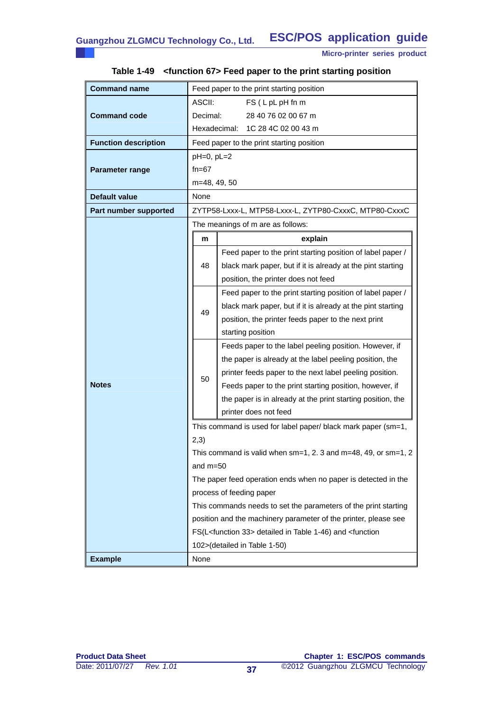| <b>Command name</b>         | Feed paper to the print starting position                                                                               |  |  |  |  |
|-----------------------------|-------------------------------------------------------------------------------------------------------------------------|--|--|--|--|
|                             | ASCII:<br>FS (LpLpH fn m                                                                                                |  |  |  |  |
| <b>Command code</b>         | Decimal:<br>28 40 76 02 00 67 m                                                                                         |  |  |  |  |
|                             | Hexadecimal:<br>1C 28 4C 02 00 43 m                                                                                     |  |  |  |  |
| <b>Function description</b> | Feed paper to the print starting position                                                                               |  |  |  |  |
|                             | $pH=0$ , $pL=2$                                                                                                         |  |  |  |  |
| <b>Parameter range</b>      | fn=67                                                                                                                   |  |  |  |  |
|                             | m=48, 49, 50                                                                                                            |  |  |  |  |
| <b>Default value</b>        | None                                                                                                                    |  |  |  |  |
| Part number supported       | ZYTP58-Lxxx-L, MTP58-Lxxx-L, ZYTP80-CxxxC, MTP80-CxxxC                                                                  |  |  |  |  |
|                             | The meanings of m are as follows:                                                                                       |  |  |  |  |
|                             | explain<br>m                                                                                                            |  |  |  |  |
|                             | Feed paper to the print starting position of label paper /                                                              |  |  |  |  |
|                             | 48<br>black mark paper, but if it is already at the pint starting                                                       |  |  |  |  |
|                             | position, the printer does not feed                                                                                     |  |  |  |  |
|                             | Feed paper to the print starting position of label paper /                                                              |  |  |  |  |
|                             | black mark paper, but if it is already at the pint starting<br>49                                                       |  |  |  |  |
|                             | position, the printer feeds paper to the next print                                                                     |  |  |  |  |
|                             | starting position                                                                                                       |  |  |  |  |
|                             | Feeds paper to the label peeling position. However, if                                                                  |  |  |  |  |
|                             | the paper is already at the label peeling position, the                                                                 |  |  |  |  |
|                             | printer feeds paper to the next label peeling position.<br>50                                                           |  |  |  |  |
| <b>Notes</b>                | Feeds paper to the print starting position, however, if                                                                 |  |  |  |  |
|                             | the paper is in already at the print starting position, the                                                             |  |  |  |  |
|                             | printer does not feed                                                                                                   |  |  |  |  |
|                             | This command is used for label paper/ black mark paper (sm=1,                                                           |  |  |  |  |
|                             | (2,3)                                                                                                                   |  |  |  |  |
|                             | This command is valid when $sm=1$ , 2. 3 and $m=48$ , 49, or $sm=1$ , 2                                                 |  |  |  |  |
|                             | and $m=50$                                                                                                              |  |  |  |  |
|                             | The paper feed operation ends when no paper is detected in the                                                          |  |  |  |  |
|                             | process of feeding paper                                                                                                |  |  |  |  |
|                             | This commands needs to set the parameters of the print starting                                                         |  |  |  |  |
|                             | position and the machinery parameter of the printer, please see                                                         |  |  |  |  |
|                             | FS(L <function 33=""> detailed in Table 1-46) and <function<br>102&gt;(detailed in Table 1-50)</function<br></function> |  |  |  |  |
|                             |                                                                                                                         |  |  |  |  |
| <b>Example</b>              | None                                                                                                                    |  |  |  |  |

# **Table 1-49 <function 67> Feed paper to the print starting position**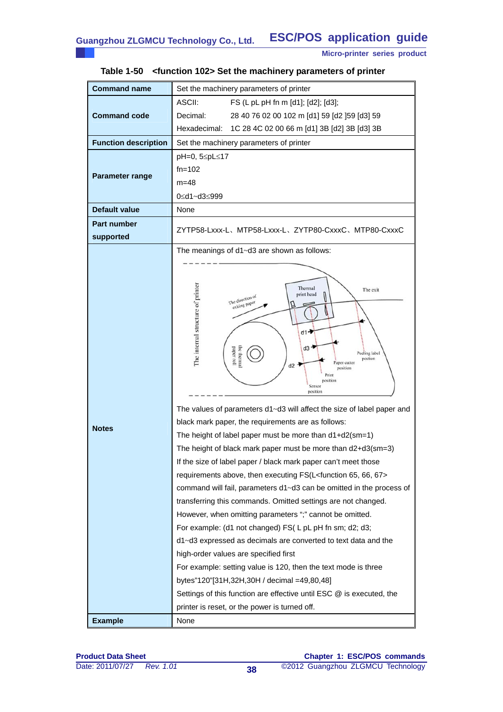| <b>Command name</b>         | Set the machinery parameters of printer                                           |  |  |
|-----------------------------|-----------------------------------------------------------------------------------|--|--|
|                             | ASCII:<br>FS (L pL pH fn m [d1]; [d2]; [d3];                                      |  |  |
| <b>Command code</b>         | Decimal:<br>28 40 76 02 00 102 m [d1] 59 [d2 ]59 [d3] 59                          |  |  |
|                             | Hexadecimal: 1C 28 4C 02 00 66 m [d1] 3B [d2] 3B [d3] 3B                          |  |  |
| <b>Function description</b> | Set the machinery parameters of printer                                           |  |  |
|                             | pH=0, 5≤pL≤17                                                                     |  |  |
| Parameter range             | $fn = 102$                                                                        |  |  |
|                             | $m = 48$                                                                          |  |  |
|                             | 0≤d1~d3≤999                                                                       |  |  |
| <b>Default value</b>        | None                                                                              |  |  |
| <b>Part number</b>          | ZYTP58-Lxxx-L、MTP58-Lxxx-L、ZYTP80-CxxxC、MTP80-CxxxC                               |  |  |
| supported                   |                                                                                   |  |  |
|                             | The meanings of d1~d3 are shown as follows:                                       |  |  |
|                             |                                                                                   |  |  |
|                             |                                                                                   |  |  |
|                             | Thermal<br>The exit<br>print head                                                 |  |  |
|                             | The direction of<br>exiting paper                                                 |  |  |
|                             |                                                                                   |  |  |
|                             | The internal structure of printer<br>d1-                                          |  |  |
|                             | $d3 -$                                                                            |  |  |
|                             | the thermal<br>paper roll<br>Peeling label<br>postion                             |  |  |
|                             | Paper cutter<br>d <sub>2</sub><br>position                                        |  |  |
|                             | Print<br>position<br>Sensor                                                       |  |  |
|                             | position                                                                          |  |  |
|                             | The values of parameters d1~d3 will affect the size of label paper and            |  |  |
| <b>Notes</b>                | black mark paper, the requirements are as follows:                                |  |  |
|                             | The height of label paper must be more than $d1+d2$ (sm=1)                        |  |  |
|                             | The height of black mark paper must be more than d2+d3(sm=3)                      |  |  |
|                             | If the size of label paper / black mark paper can't meet those                    |  |  |
|                             | requirements above, then executing FS(L <function 65,="" 66,="" 67=""></function> |  |  |
|                             | command will fail, parameters d1~d3 can be omitted in the process of              |  |  |
|                             | transferring this commands. Omitted settings are not changed.                     |  |  |
|                             | However, when omitting parameters ";" cannot be omitted.                          |  |  |
|                             | For example: (d1 not changed) FS(LpLpH fn sm; d2; d3;                             |  |  |
|                             | $d1 - d3$ expressed as decimals are converted to text data and the                |  |  |
|                             | high-order values are specified first                                             |  |  |
|                             | For example: setting value is 120, then the text mode is three                    |  |  |
|                             | bytes"120"[31H,32H,30H / decimal =49,80,48]                                       |  |  |
|                             | Settings of this function are effective until ESC @ is executed, the              |  |  |
|                             | printer is reset, or the power is turned off.                                     |  |  |
| <b>Example</b>              | None                                                                              |  |  |

# **Table 1-50 <function 102> Set the machinery parameters of printer**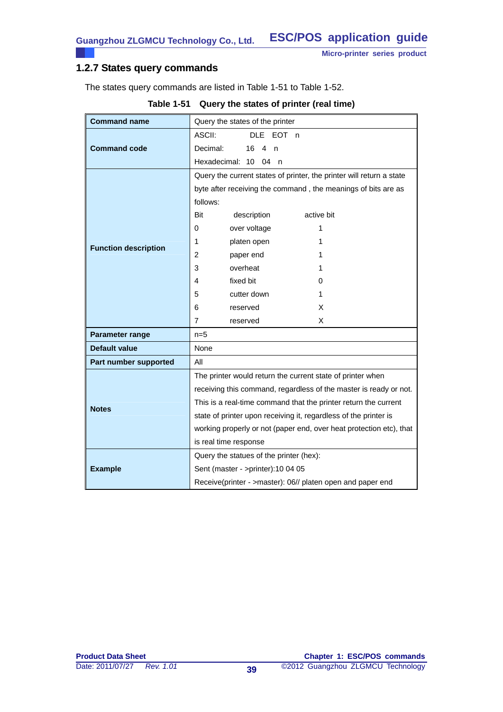# **1.2.7 States query commands**

The states query commands are listed in Table 1-51 to Table 1-52.

| <b>Command name</b>         | Query the states of the printer                                      |  |  |  |  |
|-----------------------------|----------------------------------------------------------------------|--|--|--|--|
| <b>Command code</b>         | ASCII:<br><b>DLE</b><br>EOT n                                        |  |  |  |  |
|                             | Decimal:<br>16<br>4<br>n                                             |  |  |  |  |
|                             | Hexadecimal: 10<br>04<br>n                                           |  |  |  |  |
|                             | Query the current states of printer, the printer will return a state |  |  |  |  |
|                             | byte after receiving the command, the meanings of bits are as        |  |  |  |  |
|                             | follows:                                                             |  |  |  |  |
|                             | active bit<br>Bit<br>description                                     |  |  |  |  |
|                             | 1<br>0<br>over voltage                                               |  |  |  |  |
|                             | platen open<br>1<br>1                                                |  |  |  |  |
| <b>Function description</b> | 2<br>paper end<br>1                                                  |  |  |  |  |
|                             | 3<br>overheat<br>1                                                   |  |  |  |  |
|                             | fixed bit<br>4<br>0                                                  |  |  |  |  |
|                             | cutter down<br>5<br>1                                                |  |  |  |  |
|                             | х<br>6<br>reserved                                                   |  |  |  |  |
|                             | 7<br>X<br>reserved                                                   |  |  |  |  |
| Parameter range             | $n=5$                                                                |  |  |  |  |
| Default value               | None                                                                 |  |  |  |  |
| Part number supported       | All                                                                  |  |  |  |  |
|                             | The printer would return the current state of printer when           |  |  |  |  |
|                             | receiving this command, regardless of the master is ready or not.    |  |  |  |  |
|                             | This is a real-time command that the printer return the current      |  |  |  |  |
| <b>Notes</b>                | state of printer upon receiving it, regardless of the printer is     |  |  |  |  |
|                             | working properly or not (paper end, over heat protection etc), that  |  |  |  |  |
|                             | is real time response                                                |  |  |  |  |
|                             | Query the statues of the printer (hex):                              |  |  |  |  |
| <b>Example</b>              | Sent (master - >printer):10 04 05                                    |  |  |  |  |
|                             | Receive(printer - >master): 06// platen open and paper end           |  |  |  |  |

## **Table 1-51 Query the states of printer (real time)**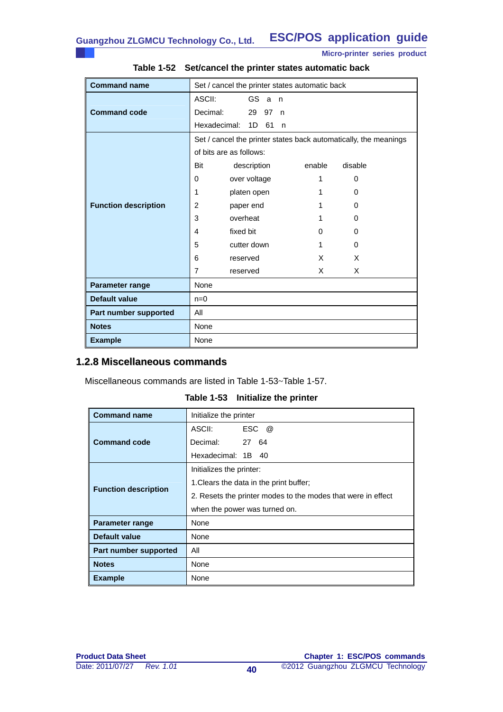| <b>Command name</b>         | Set / cancel the printer states automatic back                   |  |  |  |
|-----------------------------|------------------------------------------------------------------|--|--|--|
|                             | ASCII:<br>GS a n                                                 |  |  |  |
| <b>Command code</b>         | Decimal:<br>29<br>97<br>n                                        |  |  |  |
|                             | Hexadecimal:<br>1D<br>61<br>n                                    |  |  |  |
|                             | Set / cancel the printer states back automatically, the meanings |  |  |  |
|                             | of bits are as follows:                                          |  |  |  |
|                             | disable<br>Bit<br>description<br>enable                          |  |  |  |
|                             | 0<br>over voltage<br>1<br>0                                      |  |  |  |
|                             | 1<br>platen open<br>0                                            |  |  |  |
| <b>Function description</b> | 2<br>paper end<br>1<br>0                                         |  |  |  |
|                             | 3<br>overheat<br>0                                               |  |  |  |
|                             | fixed bit<br>4<br>0<br>0                                         |  |  |  |
|                             | 5<br>cutter down<br>0<br>1                                       |  |  |  |
|                             | 6<br>X<br>reserved<br>X                                          |  |  |  |
|                             | 7<br>X<br>X<br>reserved                                          |  |  |  |
| Parameter range             | None                                                             |  |  |  |
| <b>Default value</b>        | $n=0$                                                            |  |  |  |
| Part number supported       | All                                                              |  |  |  |
| <b>Notes</b>                | None                                                             |  |  |  |
| <b>Example</b>              | None                                                             |  |  |  |

## **Table 1-52 Set/cancel the printer states automatic back**

# **1.2.8 Miscellaneous commands**

Miscellaneous commands are listed in Table 1-53~Table 1-57.

| <b>Command name</b>         | Initialize the printer                                       |  |  |  |
|-----------------------------|--------------------------------------------------------------|--|--|--|
| <b>Command code</b>         | $\mathsf{ESC} \quad \varnothing$<br>ASCII:                   |  |  |  |
|                             | Decimal:<br>27 64                                            |  |  |  |
|                             | Hexadecimal: 1B 40                                           |  |  |  |
|                             | Initializes the printer:                                     |  |  |  |
|                             | 1. Clears the data in the print buffer;                      |  |  |  |
| <b>Function description</b> | 2. Resets the printer modes to the modes that were in effect |  |  |  |
|                             | when the power was turned on.                                |  |  |  |
| <b>Parameter range</b>      | None                                                         |  |  |  |
| Default value               | None                                                         |  |  |  |
| Part number supported       | All                                                          |  |  |  |
| <b>Notes</b>                | None                                                         |  |  |  |
| <b>Example</b>              | None                                                         |  |  |  |

**Table 1-53 Initialize the printer**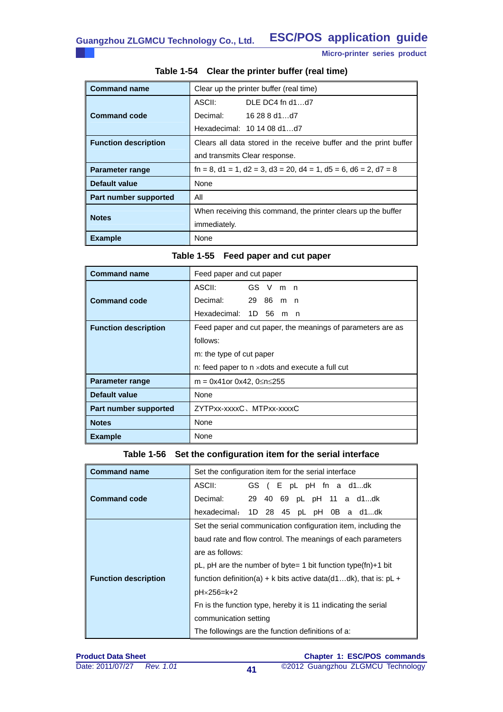| <b>Command name</b>         | Clear up the printer buffer (real time) |                                                                                        |  |
|-----------------------------|-----------------------------------------|----------------------------------------------------------------------------------------|--|
|                             | ASCII:                                  | $DI$ F DC4 fn d1d7                                                                     |  |
| <b>Command code</b>         | Decimal:                                | 16288d1d7                                                                              |  |
|                             |                                         | Hexadecimal: 10 14 08 d1 d7                                                            |  |
| <b>Function description</b> |                                         | Clears all data stored in the receive buffer and the print buffer                      |  |
|                             |                                         | and transmits Clear response.                                                          |  |
| Parameter range             |                                         | $fn = 8$ , $d1 = 1$ , $d2 = 3$ , $d3 = 20$ , $d4 = 1$ , $d5 = 6$ , $d6 = 2$ , $d7 = 8$ |  |
| Default value               | None                                    |                                                                                        |  |
| Part number supported       | All                                     |                                                                                        |  |
| <b>Notes</b>                |                                         | When receiving this command, the printer clears up the buffer                          |  |
|                             | immediately.                            |                                                                                        |  |
| <b>Example</b>              | None                                    |                                                                                        |  |

# **Table 1-54 Clear the printer buffer (real time)**

| Table 1-55 Feed paper and cut paper |  |
|-------------------------------------|--|
|-------------------------------------|--|

| <b>Command name</b>         | Feed paper and cut paper                                    |  |  |  |  |  |
|-----------------------------|-------------------------------------------------------------|--|--|--|--|--|
|                             | ASCII: International<br>GS V m n                            |  |  |  |  |  |
| <b>Command code</b>         | Decimal:<br>29 86 m n                                       |  |  |  |  |  |
|                             | Hexadecimal: 1D 56<br>mn                                    |  |  |  |  |  |
| <b>Function description</b> | Feed paper and cut paper, the meanings of parameters are as |  |  |  |  |  |
|                             | follows:                                                    |  |  |  |  |  |
|                             | m: the type of cut paper                                    |  |  |  |  |  |
|                             | n: feed paper to $n \times$ dots and execute a full cut     |  |  |  |  |  |
| Parameter range             | m = 0x41or 0x42, 0≤n≤255                                    |  |  |  |  |  |
| Default value               | None                                                        |  |  |  |  |  |
| Part number supported       | ZYTPxx-xxxxC、MTPxx-xxxxC                                    |  |  |  |  |  |
| <b>Notes</b>                | None                                                        |  |  |  |  |  |
| <b>Example</b>              | None                                                        |  |  |  |  |  |

# **Table 1-56 Set the configuration item for the serial interface**

| <b>Command name</b>         | Set the configuration item for the serial interface                                                                                   |  |  |  |
|-----------------------------|---------------------------------------------------------------------------------------------------------------------------------------|--|--|--|
|                             | ASCII:<br>GS ( E pL pH fn a d1dk                                                                                                      |  |  |  |
| <b>Command code</b>         | Decimal:<br>29 40 69 pL pH 11 a d1dk                                                                                                  |  |  |  |
|                             | hexadecimal: 1D 28 45 pL pH 0B a d1dk                                                                                                 |  |  |  |
|                             | Set the serial communication configuration item, including the                                                                        |  |  |  |
|                             | baud rate and flow control. The meanings of each parameters<br>are as follows:                                                        |  |  |  |
|                             |                                                                                                                                       |  |  |  |
|                             | $pL$ , pH are the number of byte= 1 bit function type(fn)+1 bit<br>function definition(a) + k bits active data(d1dk), that is: $pL +$ |  |  |  |
| <b>Function description</b> |                                                                                                                                       |  |  |  |
|                             | pH×256=k+2                                                                                                                            |  |  |  |
|                             | Fn is the function type, hereby it is 11 indicating the serial<br>communication setting                                               |  |  |  |
|                             |                                                                                                                                       |  |  |  |
|                             | The followings are the function definitions of a:                                                                                     |  |  |  |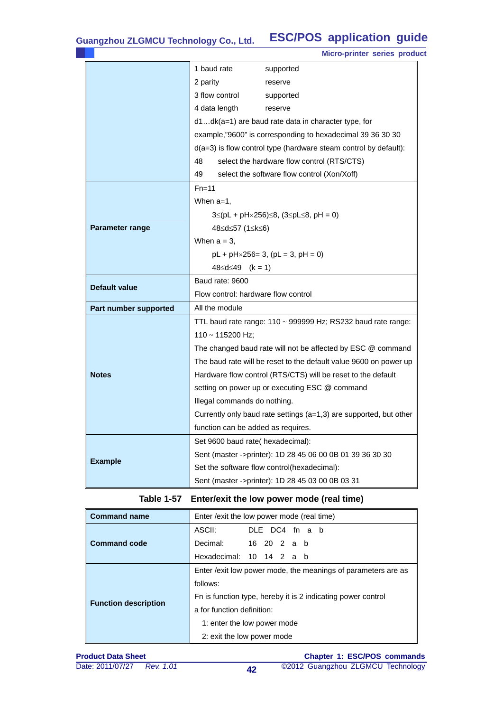**ESC/POS application guide**

|                       |                                                                                                                                  | Micro-printer series product                                      |  |  |  |  |
|-----------------------|----------------------------------------------------------------------------------------------------------------------------------|-------------------------------------------------------------------|--|--|--|--|
|                       | 1 baud rate                                                                                                                      | supported                                                         |  |  |  |  |
|                       | 2 parity                                                                                                                         | reserve                                                           |  |  |  |  |
|                       | 3 flow control                                                                                                                   | supported                                                         |  |  |  |  |
|                       | 4 data length                                                                                                                    | reserve                                                           |  |  |  |  |
|                       |                                                                                                                                  | $d1dk(a=1)$ are baud rate data in character type, for             |  |  |  |  |
|                       | example,"9600" is corresponding to hexadecimal 39 36 30 30<br>$d(a=3)$ is flow control type (hardware steam control by default): |                                                                   |  |  |  |  |
|                       |                                                                                                                                  |                                                                   |  |  |  |  |
|                       | 48                                                                                                                               | select the hardware flow control (RTS/CTS)                        |  |  |  |  |
|                       | 49                                                                                                                               | select the software flow control (Xon/Xoff)                       |  |  |  |  |
|                       | $Fn=11$                                                                                                                          |                                                                   |  |  |  |  |
|                       | When $a=1$ ,                                                                                                                     |                                                                   |  |  |  |  |
|                       |                                                                                                                                  | $3\leq (pL + pH \times 256) \leq 8$ , $(3\leq pL \leq 8, pH = 0)$ |  |  |  |  |
| Parameter range       | 48≤d≤57 (1≤k≤6)                                                                                                                  |                                                                   |  |  |  |  |
|                       | When $a = 3$ ,                                                                                                                   |                                                                   |  |  |  |  |
|                       | $pL + pH \times 256 = 3$ , $(pL = 3, pH = 0)$                                                                                    |                                                                   |  |  |  |  |
|                       | $48 \le d \le 49$ (k = 1)                                                                                                        |                                                                   |  |  |  |  |
| <b>Default value</b>  | Baud rate: 9600                                                                                                                  |                                                                   |  |  |  |  |
|                       | Flow control: hardware flow control                                                                                              |                                                                   |  |  |  |  |
| Part number supported | All the module                                                                                                                   |                                                                   |  |  |  |  |
|                       | TTL baud rate range: 110 ~ 999999 Hz; RS232 baud rate range:                                                                     |                                                                   |  |  |  |  |
|                       | $110 \sim 115200$ Hz;                                                                                                            |                                                                   |  |  |  |  |
|                       |                                                                                                                                  | The changed baud rate will not be affected by ESC @ command       |  |  |  |  |
|                       |                                                                                                                                  | The baud rate will be reset to the default value 9600 on power up |  |  |  |  |
| <b>Notes</b>          | Hardware flow control (RTS/CTS) will be reset to the default                                                                     |                                                                   |  |  |  |  |
|                       |                                                                                                                                  | setting on power up or executing ESC @ command                    |  |  |  |  |
|                       | Illegal commands do nothing.                                                                                                     |                                                                   |  |  |  |  |
|                       | Currently only baud rate settings (a=1,3) are supported, but other                                                               |                                                                   |  |  |  |  |
|                       | function can be added as requires.                                                                                               |                                                                   |  |  |  |  |
|                       | Set 9600 baud rate( hexadecimal):                                                                                                |                                                                   |  |  |  |  |
| <b>Example</b>        |                                                                                                                                  | Sent (master ->printer): 1D 28 45 06 00 0B 01 39 36 30 30         |  |  |  |  |
|                       | Set the software flow control(hexadecimal):                                                                                      |                                                                   |  |  |  |  |
|                       | Sent (master ->printer): 1D 28 45 03 00 0B 03 31                                                                                 |                                                                   |  |  |  |  |

# **Table 1-57 Enter/exit the low power mode (real time)**

| <b>Command name</b>         | Enter / exit the low power mode (real time)                    |  |  |  |
|-----------------------------|----------------------------------------------------------------|--|--|--|
|                             | ASCII:<br>DLE DC4 fn a b                                       |  |  |  |
| <b>Command code</b>         | Decimal: 16 20 2 a b                                           |  |  |  |
|                             | Hexadecimal: 10 14 2 a b                                       |  |  |  |
|                             | Enter / exit low power mode, the meanings of parameters are as |  |  |  |
|                             | follows:                                                       |  |  |  |
| <b>Function description</b> | Fn is function type, hereby it is 2 indicating power control   |  |  |  |
|                             | a for function definition:                                     |  |  |  |
|                             | 1: enter the low power mode                                    |  |  |  |
|                             | 2: exit the low power mode                                     |  |  |  |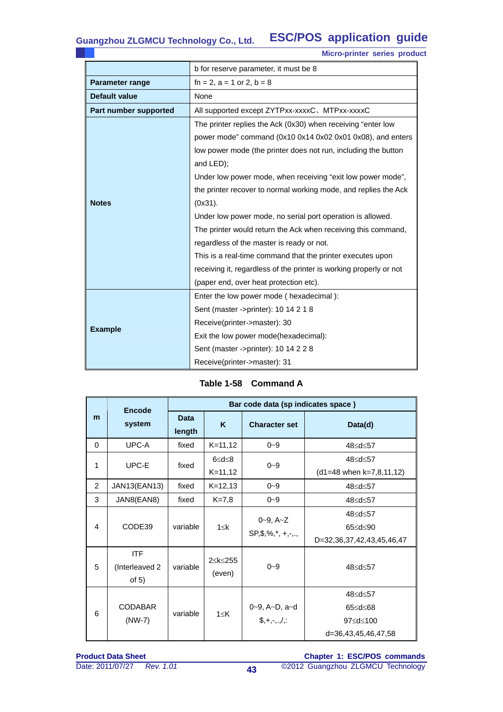**ESC/POS application guide Guangzhou ZLGMCU Technology Co., Ltd.**

|                        | Micro-printer series product                                       |  |  |  |  |
|------------------------|--------------------------------------------------------------------|--|--|--|--|
|                        | b for reserve parameter, it must be 8                              |  |  |  |  |
| <b>Parameter range</b> | $fn = 2$ , $a = 1$ or $2$ , $b = 8$                                |  |  |  |  |
| <b>Default value</b>   | None                                                               |  |  |  |  |
| Part number supported  | All supported except ZYTPxx-xxxxC、MTPxx-xxxxC                      |  |  |  |  |
|                        | The printer replies the Ack (0x30) when receiving "enter low       |  |  |  |  |
|                        | power mode" command (0x10 0x14 0x02 0x01 0x08), and enters         |  |  |  |  |
|                        | low power mode (the printer does not run, including the button     |  |  |  |  |
|                        | and LED);                                                          |  |  |  |  |
|                        | Under low power mode, when receiving "exit low power mode",        |  |  |  |  |
|                        | the printer recover to normal working mode, and replies the Ack    |  |  |  |  |
| <b>Notes</b>           | $(0x31)$ .                                                         |  |  |  |  |
|                        | Under low power mode, no serial port operation is allowed.         |  |  |  |  |
|                        | The printer would return the Ack when receiving this command,      |  |  |  |  |
|                        | regardless of the master is ready or not.                          |  |  |  |  |
|                        | This is a real-time command that the printer executes upon         |  |  |  |  |
|                        | receiving it, regardless of the printer is working properly or not |  |  |  |  |
|                        | (paper end, over heat protection etc).                             |  |  |  |  |
|                        | Enter the low power mode ( hexadecimal ):                          |  |  |  |  |
|                        | Sent (master ->printer): 10 14 2 1 8                               |  |  |  |  |
|                        | Receive(printer->master): 30                                       |  |  |  |  |
| <b>Example</b>         | Exit the low power mode(hexadecimal):                              |  |  |  |  |
|                        | Sent (master ->printer): 10 14 2 2 8                               |  |  |  |  |
|                        | Receive(printer->master): 31                                       |  |  |  |  |

|   | <b>Encode</b>                           | Bar code data (sp indicates space) |                       |                                           |                                                       |  |  |  |  |  |  |
|---|-----------------------------------------|------------------------------------|-----------------------|-------------------------------------------|-------------------------------------------------------|--|--|--|--|--|--|
| m | system                                  |                                    | K                     | <b>Character set</b>                      | Data(d)                                               |  |  |  |  |  |  |
| 0 | UPC-A                                   | fixed                              | $K = 11, 12$          | $0 - 9$                                   | 48≤d≤57                                               |  |  |  |  |  |  |
| 1 | UPC-E                                   | fixed                              | 6≤d≤8<br>$K = 11, 12$ | $0 - 9$                                   | 48≤d≤57<br>$(d1=48$ when k=7,8,11,12)                 |  |  |  |  |  |  |
| 2 | JAN13(EAN13)                            | fixed                              | $K = 12, 13$          | $0 - 9$                                   | 48≤d≤57                                               |  |  |  |  |  |  |
| 3 | JAN8(EAN8)                              | fixed                              | $K = 7.8$             | $0 - 9$                                   | 48≤d≤57                                               |  |  |  |  |  |  |
| 4 | CODE39                                  | variable                           | $1 \leq k$            | $0-9, A-Z$<br>$SP, \$, \%$ , $*, +, -, .$ | 48≤d≤57<br>65 < d < 90<br>D=32,36,37,42,43,45,46,47   |  |  |  |  |  |  |
| 5 | <b>ITF</b><br>(Interleaved 2<br>of $5)$ | variable                           | 2≤k≤255<br>(even)     | $0 - 9$                                   | 48 < d < 57                                           |  |  |  |  |  |  |
| 6 | <b>CODABAR</b><br>$(NW-7)$              | variable                           | $1 \leq K$            | $0-9$ , $A-D$ , $a-d$<br>$$.+.-.$         | 48≤d≤57<br>65≤d≤68<br>97≤d≤100<br>d=36,43,45,46,47,58 |  |  |  |  |  |  |

**Product Data Sheet**  *Rev. 1.01* **43**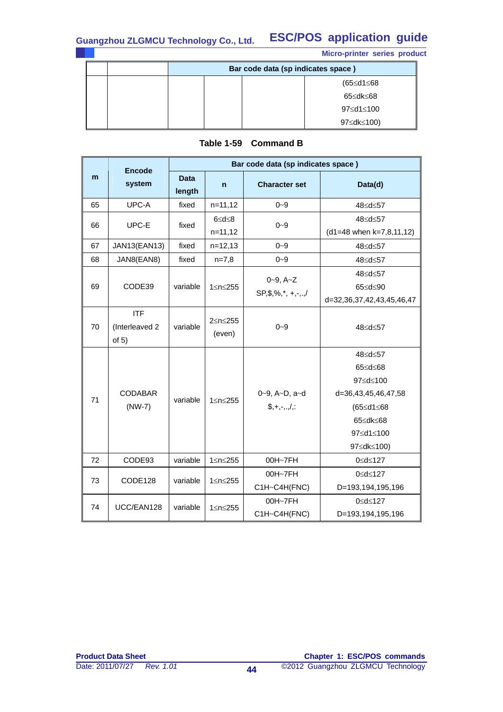|  | <b>Micro-printer series product</b> |
|--|-------------------------------------|
|  |                                     |

÷

|  | Bar code data (sp indicates space) |  |  |            |
|--|------------------------------------|--|--|------------|
|  |                                    |  |  | (65≤d1≤68  |
|  |                                    |  |  | 65≤dk≤68   |
|  |                                    |  |  | 97≤d1≤100  |
|  |                                    |  |  | 97≤dk≤100) |

|    | <b>Encode</b>                           | Bar code data (sp indicates space) |                                                |                                             |                                                                                                           |
|----|-----------------------------------------|------------------------------------|------------------------------------------------|---------------------------------------------|-----------------------------------------------------------------------------------------------------------|
| m  | system                                  |                                    | $\mathsf{n}$                                   | <b>Character set</b>                        | Data(d)                                                                                                   |
| 65 | UPC-A                                   | fixed                              | $n=11,12$                                      | $0 - 9$                                     | 48≤d≤57                                                                                                   |
| 66 | UPC-E                                   | fixed                              | $6 \le d \le 8$<br>$n=11,12$                   | $0 - 9$                                     | 48≤d≤57<br>$(d1=48$ when k=7,8,11,12)                                                                     |
| 67 | JAN13(EAN13)                            | fixed                              | $n=12,13$                                      | $0 - 9$                                     | 48≤d≤57                                                                                                   |
| 68 | JAN8(EAN8)                              | fixed                              | $n=7,8$                                        | $0 - 9$                                     | 48≤d≤57                                                                                                   |
| 69 | CODE39                                  | variable                           | 1≤n≤255                                        | $0 - 9, A - Z$<br>$SP, \$, \%$ , *, +,-,.,/ | 48≤d≤57<br>65≤d≤90<br>d=32,36,37,42,43,45,46,47                                                           |
| 70 | <b>ITF</b><br>(Interleaved 2<br>of $5)$ | variable                           | 2≤n≤255<br>(even)                              | $0 - 9$                                     | 48≤d≤57                                                                                                   |
| 71 | <b>CODABAR</b><br>$(NW-7)$              | variable                           | 0~9, A~D, a~d<br>1≤n≤255<br>$$, +, -, ., /, :$ |                                             | 48≤d≤57<br>65≤d≤68<br>97≤d≤100<br>d=36,43,45,46,47,58<br>(65≤d1≤68<br>65≤dk≤68<br>97≤d1≤100<br>97≤dk≤100) |
| 72 | CODE93                                  | variable                           | 1≤n≤255                                        | 00H~7FH                                     | 0≤d≤127                                                                                                   |
| 73 | CODE128                                 | variable                           | 1≤n≤255                                        | 00H~7FH<br>C1H~C4H(FNC)                     | 0≤d≤127<br>D=193,194,195,196                                                                              |
| 74 | UCC/EAN128                              | variable                           | 1≤n≤255                                        | 00H~7FH<br>C1H~C4H(FNC)                     | 0≤d≤127<br>D=193,194,195,196                                                                              |

# **Table 1-59 Command B**

 $\mathbf{r}$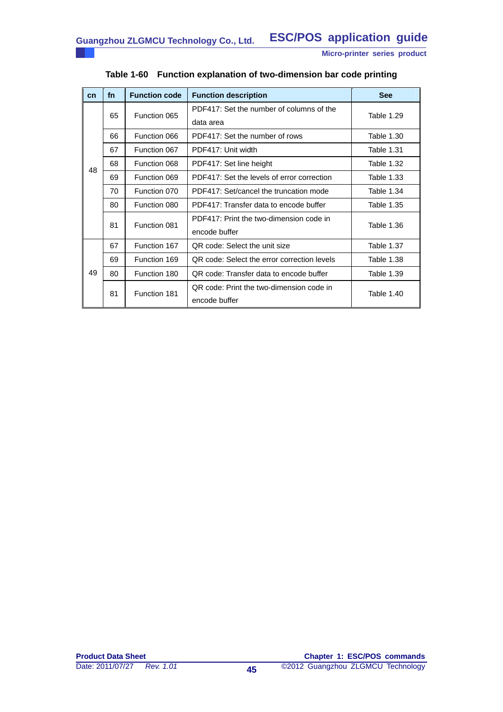| cn | fn | <b>Function code</b> | <b>Function description</b>                 | <b>See</b>    |            |
|----|----|----------------------|---------------------------------------------|---------------|------------|
|    | 65 |                      | PDF417: Set the number of columns of the    | Table 1.29    |            |
|    |    | Function 065         | data area                                   |               |            |
|    | 66 | Function 066         | PDF417: Set the number of rows              | Table 1.30    |            |
|    | 67 | Function 067         | PDF417: Unit width                          | Table 1.31    |            |
| 48 | 68 | Function 068         | PDF417: Set line height                     | Table 1.32    |            |
|    | 69 | Function 069         | PDF417: Set the levels of error correction  | Table 1.33    |            |
|    | 70 | Function 070         | PDF417: Set/cancel the truncation mode      | Table 1.34    |            |
|    | 80 | Function 080         | PDF417: Transfer data to encode buffer      | Table 1.35    |            |
|    |    | Function 081         | PDF417: Print the two-dimension code in     |               |            |
|    | 81 |                      | encode buffer                               | Table 1.36    |            |
|    | 67 | Function 167         | OR code: Select the unit size               | Table 1.37    |            |
|    | 69 | Function 169         | QR code: Select the error correction levels | Table 1.38    |            |
| 49 | 80 | Function 180         | QR code: Transfer data to encode buffer     | Table 1.39    |            |
|    |    | Function 181         | QR code: Print the two-dimension code in    |               |            |
|    |    | 81                   |                                             | encode buffer | Table 1.40 |

# **Table 1-60 Function explanation of two-dimension bar code printing**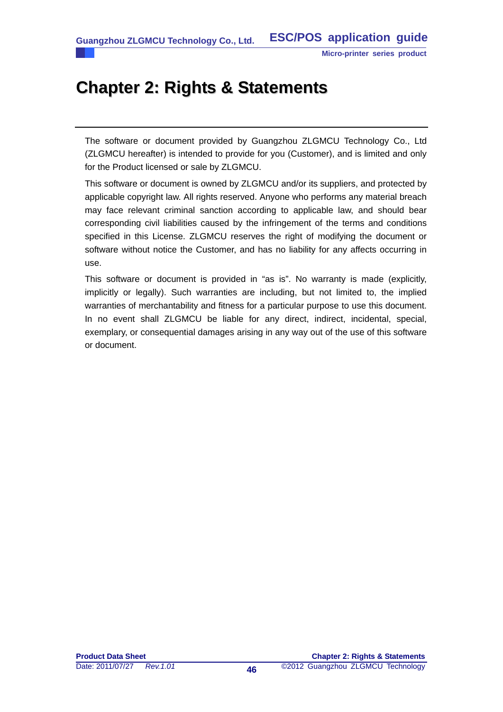# **Chapter 2: Rights & Statements**

The software or document provided by Guangzhou ZLGMCU Technology Co., Ltd (ZLGMCU hereafter) is intended to provide for you (Customer), and is limited and only for the Product licensed or sale by ZLGMCU.

This software or document is owned by ZLGMCU and/or its suppliers, and protected by applicable copyright law. All rights reserved. Anyone who performs any material breach may face relevant criminal sanction according to applicable law, and should bear corresponding civil liabilities caused by the infringement of the terms and conditions specified in this License. ZLGMCU reserves the right of modifying the document or software without notice the Customer, and has no liability for any affects occurring in use.

This software or document is provided in "as is". No warranty is made (explicitly, implicitly or legally). Such warranties are including, but not limited to, the implied warranties of merchantability and fitness for a particular purpose to use this document. In no event shall ZLGMCU be liable for any direct, indirect, incidental, special, exemplary, or consequential damages arising in any way out of the use of this software or document.